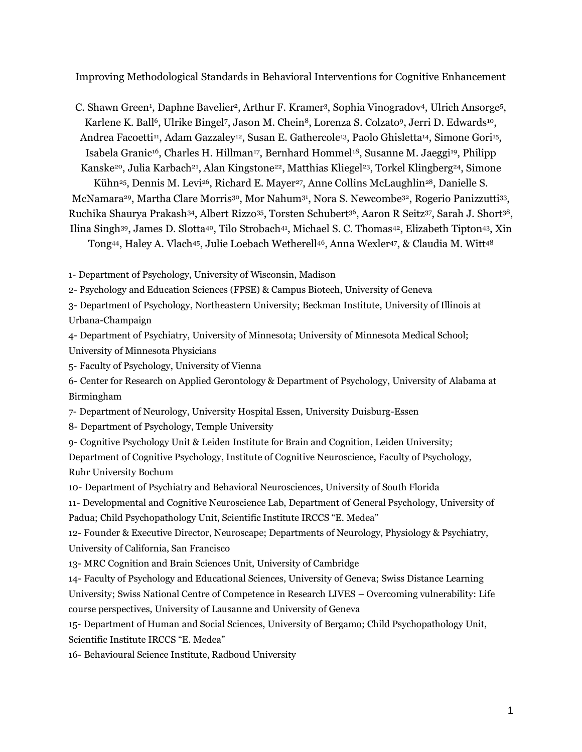Improving Methodological Standards in Behavioral Interventions for Cognitive Enhancement

C. Shawn Green<sup>1</sup>, Daphne Bavelier<sup>2</sup>, Arthur F. Kramer<sup>3</sup>, Sophia Vinogradov<sup>4</sup>, Ulrich Ansorge<sup>5</sup>, Karlene K. Ball<sup>6</sup>, Ulrike Bingel<sup>7</sup>, Jason M. Chein<sup>8</sup>, Lorenza S. Colzato<sup>9</sup>, Jerri D. Edwards<sup>10</sup>, Andrea Facoetti<sup>11</sup>, Adam Gazzaley<sup>12</sup>, Susan E. Gathercole<sup>13</sup>, Paolo Ghisletta<sup>14</sup>, Simone Gori<sup>15</sup>, Isabela Granic<sup>16</sup>, Charles H. Hillman<sup>17</sup>, Bernhard Hommel<sup>18</sup>, Susanne M. Jaeggi<sup>19</sup>, Philipp Kanske<sup>20</sup>, Julia Karbach<sup>21</sup>, Alan Kingstone<sup>22</sup>, Matthias Kliegel<sup>23</sup>, Torkel Klingberg<sup>24</sup>, Simone Kühn<sup>25</sup>, Dennis M. Levi<sup>26</sup>, Richard E. Mayer<sup>27</sup>, Anne Collins McLaughlin<sup>28</sup>, Danielle S. McNamara<sup>29</sup>, Martha Clare Morris<sup>30</sup>, Mor Nahum<sup>31</sup>, Nora S. Newcombe<sup>32</sup>, Rogerio Panizzutti<sup>33</sup>, Ruchika Shaurya Prakash<sup>34</sup>, Albert Rizzo<sup>35</sup>, Torsten Schubert<sup>36</sup>, Aaron R Seitz<sup>37</sup>, Sarah J. Short<sup>38</sup>, Ilina Singh<sup>39</sup>, James D. Slotta<sup>40</sup>, Tilo Strobach<sup>41</sup>, Michael S. C. Thomas<sup>42</sup>, Elizabeth Tipton<sup>43</sup>, Xin

Tong<sup>44</sup>, Haley A. Vlach<sup>45</sup>, Julie Loebach Wetherell<sup>46</sup>, Anna Wexler<sup>47</sup>, & Claudia M. Witt<sup>48</sup>

1- Department of Psychology, University of Wisconsin, Madison

2- Psychology and Education Sciences (FPSE) & Campus Biotech, University of Geneva

3- Department of Psychology, Northeastern University; Beckman Institute, University of Illinois at Urbana-Champaign

4- Department of Psychiatry, University of Minnesota; University of Minnesota Medical School; University of Minnesota Physicians

5- Faculty of Psychology, University of Vienna

6- Center for Research on Applied Gerontology & Department of Psychology, University of Alabama at Birmingham

7- Department of Neurology, University Hospital Essen, University Duisburg-Essen

8- Department of Psychology, Temple University

9- Cognitive Psychology Unit & Leiden Institute for Brain and Cognition, Leiden University;

Department of Cognitive Psychology, Institute of Cognitive Neuroscience, Faculty of Psychology, Ruhr University Bochum

10- Department of Psychiatry and Behavioral Neurosciences, University of South Florida

11- Developmental and Cognitive Neuroscience Lab, Department of General Psychology, University of Padua; Child Psychopathology Unit, Scientific Institute IRCCS "E. Medea"

12- Founder & Executive Director, Neuroscape; Departments of Neurology, Physiology & Psychiatry, University of California, San Francisco

13- MRC Cognition and Brain Sciences Unit, University of Cambridge

14- Faculty of Psychology and Educational Sciences, University of Geneva; Swiss Distance Learning University; Swiss National Centre of Competence in Research LIVES – Overcoming vulnerability: Life course perspectives, University of Lausanne and University of Geneva

15- Department of Human and Social Sciences, University of Bergamo; Child Psychopathology Unit, Scientific Institute IRCCS "E. Medea"

16- Behavioural Science Institute, Radboud University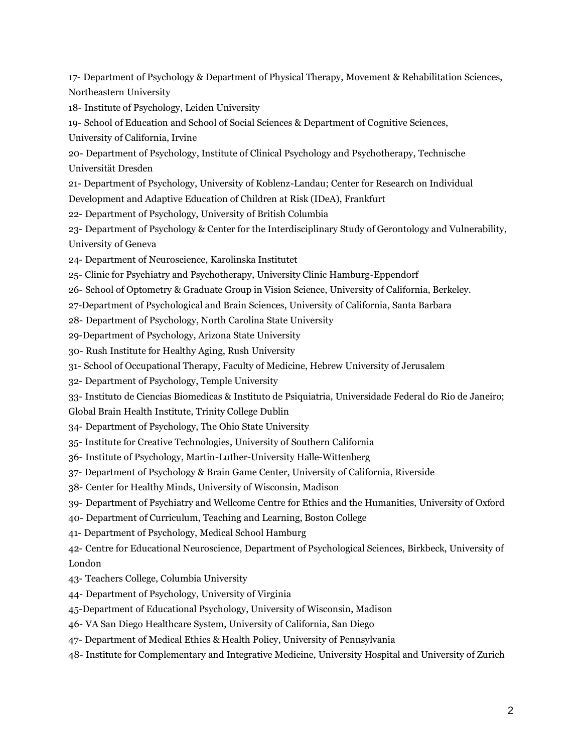17- Department of Psychology & Department of Physical Therapy, Movement & Rehabilitation Sciences, Northeastern University

18- Institute of Psychology, Leiden University

19- School of Education and School of Social Sciences & Department of Cognitive Sciences,

University of California, Irvine

20- Department of Psychology, Institute of Clinical Psychology and Psychotherapy, Technische Universität Dresden

21- Department of Psychology, University of Koblenz-Landau; Center for Research on Individual

Development and Adaptive Education of Children at Risk (IDeA), Frankfurt

22- Department of Psychology, University of British Columbia

23- Department of Psychology & Center for the Interdisciplinary Study of Gerontology and Vulnerability, University of Geneva

24- Department of Neuroscience, Karolinska Institutet

25- Clinic for Psychiatry and Psychotherapy, University Clinic Hamburg-Eppendorf

26- School of Optometry & Graduate Group in Vision Science, University of California, Berkeley.

27-Department of Psychological and Brain Sciences, University of California, Santa Barbara

28- Department of Psychology, North Carolina State University

29-Department of Psychology, Arizona State University

30- Rush Institute for Healthy Aging, Rush University

31- School of Occupational Therapy, Faculty of Medicine, Hebrew University of Jerusalem

32- Department of Psychology, Temple University

33- Instituto de Ciencias Biomedicas & Instituto de Psiquiatria, Universidade Federal do Rio de Janeiro;

Global Brain Health Institute, Trinity College Dublin

34- Department of Psychology, The Ohio State University

35- Institute for Creative Technologies, University of Southern California

- 36- Institute of Psychology, Martin-Luther-University Halle-Wittenberg
- 37- Department of Psychology & Brain Game Center, University of California, Riverside
- 38- Center for Healthy Minds, University of Wisconsin, Madison
- 39- Department of Psychiatry and Wellcome Centre for Ethics and the Humanities, University of Oxford
- 40- Department of Curriculum, Teaching and Learning, Boston College
- 41- Department of Psychology, Medical School Hamburg

42- Centre for Educational Neuroscience, Department of Psychological Sciences, Birkbeck, University of London

- 43- Teachers College, Columbia University
- 44- Department of Psychology, University of Virginia
- 45-Department of Educational Psychology, University of Wisconsin, Madison
- 46- VA San Diego Healthcare System, University of California, San Diego
- 47- Department of Medical Ethics & Health Policy, University of Pennsylvania
- 48- Institute for Complementary and Integrative Medicine, University Hospital and University of Zurich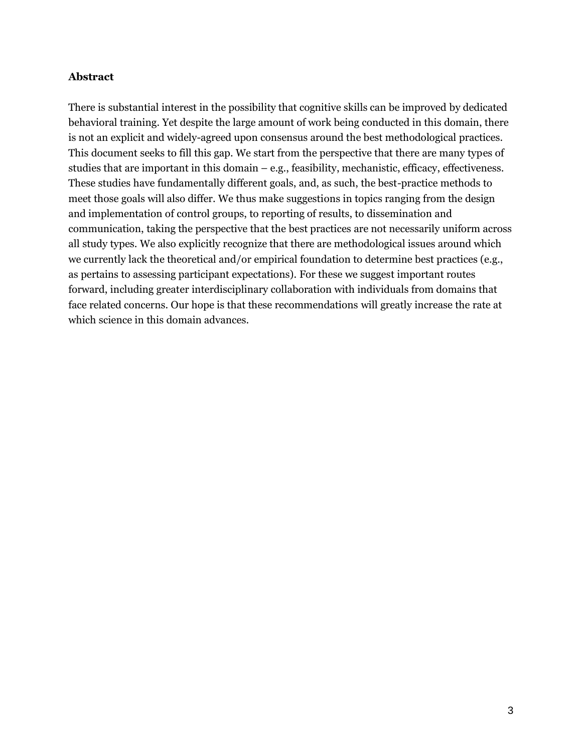## **Abstract**

There is substantial interest in the possibility that cognitive skills can be improved by dedicated behavioral training. Yet despite the large amount of work being conducted in this domain, there is not an explicit and widely-agreed upon consensus around the best methodological practices. This document seeks to fill this gap. We start from the perspective that there are many types of studies that are important in this domain – e.g., feasibility, mechanistic, efficacy, effectiveness. These studies have fundamentally different goals, and, as such, the best-practice methods to meet those goals will also differ. We thus make suggestions in topics ranging from the design and implementation of control groups, to reporting of results, to dissemination and communication, taking the perspective that the best practices are not necessarily uniform across all study types. We also explicitly recognize that there are methodological issues around which we currently lack the theoretical and/or empirical foundation to determine best practices (e.g., as pertains to assessing participant expectations). For these we suggest important routes forward, including greater interdisciplinary collaboration with individuals from domains that face related concerns. Our hope is that these recommendations will greatly increase the rate at which science in this domain advances.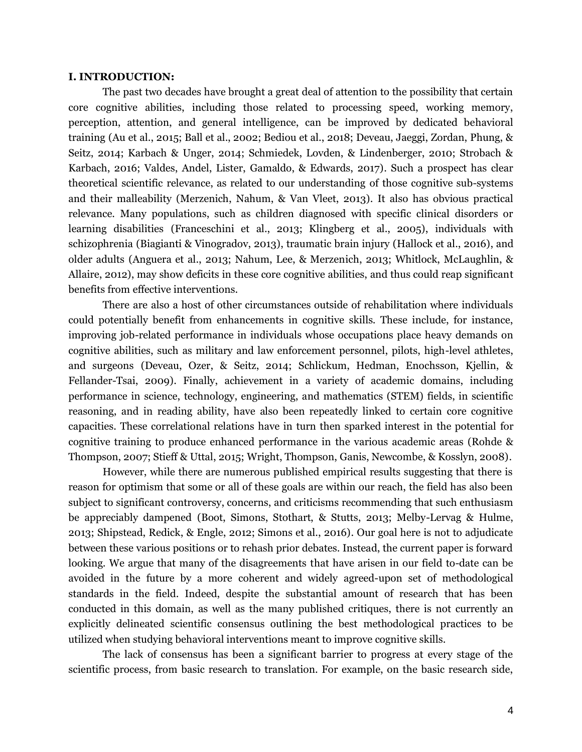#### **I. INTRODUCTION:**

The past two decades have brought a great deal of attention to the possibility that certain core cognitive abilities, including those related to processing speed, working memory, perception, attention, and general intelligence, can be improved by dedicated behavioral training (Au et al., 2015; Ball et al., 2002; Bediou et al., 2018; Deveau, Jaeggi, Zordan, Phung, & Seitz, 2014; Karbach & Unger, 2014; Schmiedek, Lovden, & Lindenberger, 2010; Strobach & Karbach, 2016; Valdes, Andel, Lister, Gamaldo, & Edwards, 2017). Such a prospect has clear theoretical scientific relevance, as related to our understanding of those cognitive sub-systems and their malleability (Merzenich, Nahum, & Van Vleet, 2013). It also has obvious practical relevance. Many populations, such as children diagnosed with specific clinical disorders or learning disabilities (Franceschini et al., 2013; Klingberg et al., 2005), individuals with schizophrenia (Biagianti & Vinogradov, 2013), traumatic brain injury (Hallock et al., 2016), and older adults (Anguera et al., 2013; Nahum, Lee, & Merzenich, 2013; Whitlock, McLaughlin, & Allaire, 2012), may show deficits in these core cognitive abilities, and thus could reap significant benefits from effective interventions.

There are also a host of other circumstances outside of rehabilitation where individuals could potentially benefit from enhancements in cognitive skills. These include, for instance, improving job-related performance in individuals whose occupations place heavy demands on cognitive abilities, such as military and law enforcement personnel, pilots, high-level athletes, and surgeons (Deveau, Ozer, & Seitz, 2014; Schlickum, Hedman, Enochsson, Kjellin, & Fellander-Tsai, 2009). Finally, achievement in a variety of academic domains, including performance in science, technology, engineering, and mathematics (STEM) fields, in scientific reasoning, and in reading ability, have also been repeatedly linked to certain core cognitive capacities. These correlational relations have in turn then sparked interest in the potential for cognitive training to produce enhanced performance in the various academic areas (Rohde & Thompson, 2007; Stieff & Uttal, 2015; Wright, Thompson, Ganis, Newcombe, & Kosslyn, 2008).

 However, while there are numerous published empirical results suggesting that there is reason for optimism that some or all of these goals are within our reach, the field has also been subject to significant controversy, concerns, and criticisms recommending that such enthusiasm be appreciably dampened (Boot, Simons, Stothart, & Stutts, 2013; Melby-Lervag & Hulme, 2013; Shipstead, Redick, & Engle, 2012; Simons et al., 2016). Our goal here is not to adjudicate between these various positions or to rehash prior debates. Instead, the current paper is forward looking. We argue that many of the disagreements that have arisen in our field to-date can be avoided in the future by a more coherent and widely agreed-upon set of methodological standards in the field. Indeed, despite the substantial amount of research that has been conducted in this domain, as well as the many published critiques, there is not currently an explicitly delineated scientific consensus outlining the best methodological practices to be utilized when studying behavioral interventions meant to improve cognitive skills.

The lack of consensus has been a significant barrier to progress at every stage of the scientific process, from basic research to translation. For example, on the basic research side,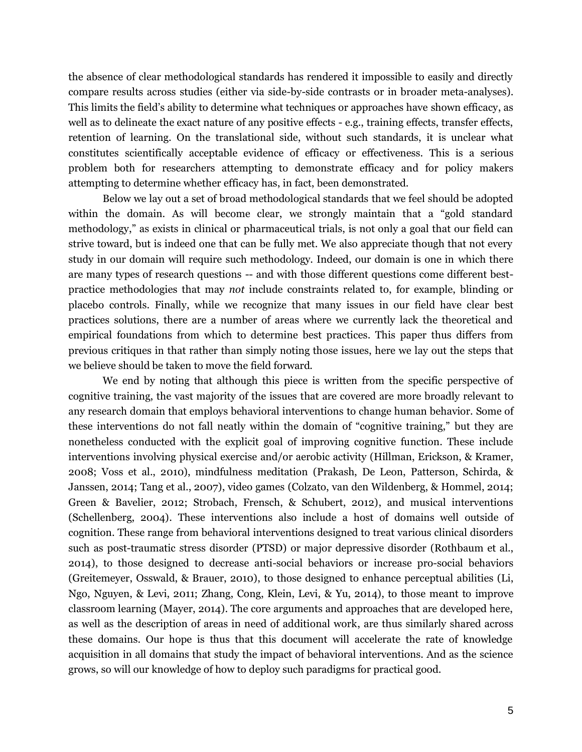the absence of clear methodological standards has rendered it impossible to easily and directly compare results across studies (either via side-by-side contrasts or in broader meta-analyses). This limits the field's ability to determine what techniques or approaches have shown efficacy, as well as to delineate the exact nature of any positive effects - e.g., training effects, transfer effects, retention of learning. On the translational side, without such standards, it is unclear what constitutes scientifically acceptable evidence of efficacy or effectiveness. This is a serious problem both for researchers attempting to demonstrate efficacy and for policy makers attempting to determine whether efficacy has, in fact, been demonstrated.

Below we lay out a set of broad methodological standards that we feel should be adopted within the domain. As will become clear, we strongly maintain that a "gold standard methodology," as exists in clinical or pharmaceutical trials, is not only a goal that our field can strive toward, but is indeed one that can be fully met. We also appreciate though that not every study in our domain will require such methodology. Indeed, our domain is one in which there are many types of research questions -- and with those different questions come different bestpractice methodologies that may *not* include constraints related to, for example, blinding or placebo controls. Finally, while we recognize that many issues in our field have clear best practices solutions, there are a number of areas where we currently lack the theoretical and empirical foundations from which to determine best practices. This paper thus differs from previous critiques in that rather than simply noting those issues, here we lay out the steps that we believe should be taken to move the field forward.

We end by noting that although this piece is written from the specific perspective of cognitive training, the vast majority of the issues that are covered are more broadly relevant to any research domain that employs behavioral interventions to change human behavior. Some of these interventions do not fall neatly within the domain of "cognitive training," but they are nonetheless conducted with the explicit goal of improving cognitive function. These include interventions involving physical exercise and/or aerobic activity (Hillman, Erickson, & Kramer, 2008; Voss et al., 2010), mindfulness meditation (Prakash, De Leon, Patterson, Schirda, & Janssen, 2014; Tang et al., 2007), video games (Colzato, van den Wildenberg, & Hommel, 2014; Green & Bavelier, 2012; Strobach, Frensch, & Schubert, 2012), and musical interventions (Schellenberg, 2004). These interventions also include a host of domains well outside of cognition. These range from behavioral interventions designed to treat various clinical disorders such as post-traumatic stress disorder (PTSD) or major depressive disorder (Rothbaum et al., 2014), to those designed to decrease anti-social behaviors or increase pro-social behaviors (Greitemeyer, Osswald, & Brauer, 2010), to those designed to enhance perceptual abilities (Li, Ngo, Nguyen, & Levi, 2011; Zhang, Cong, Klein, Levi, & Yu, 2014), to those meant to improve classroom learning (Mayer, 2014). The core arguments and approaches that are developed here, as well as the description of areas in need of additional work, are thus similarly shared across these domains. Our hope is thus that this document will accelerate the rate of knowledge acquisition in all domains that study the impact of behavioral interventions. And as the science grows, so will our knowledge of how to deploy such paradigms for practical good.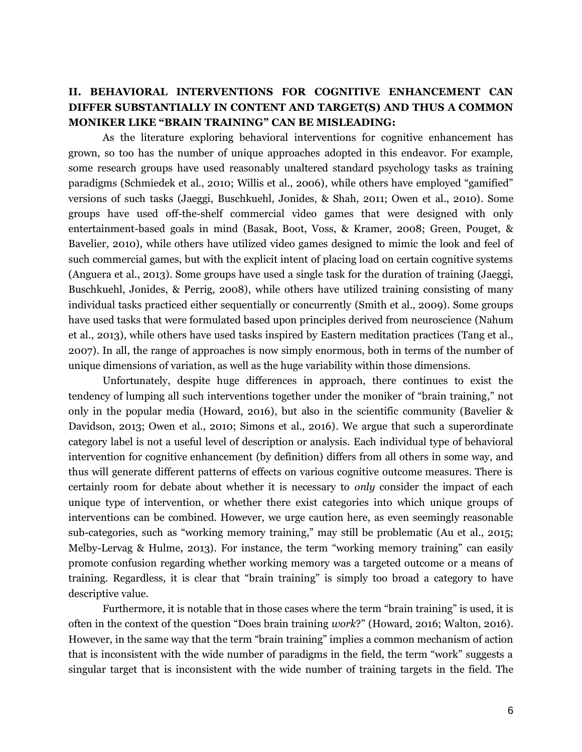# **II. BEHAVIORAL INTERVENTIONS FOR COGNITIVE ENHANCEMENT CAN DIFFER SUBSTANTIALLY IN CONTENT AND TARGET(S) AND THUS A COMMON MONIKER LIKE "BRAIN TRAINING" CAN BE MISLEADING:**

As the literature exploring behavioral interventions for cognitive enhancement has grown, so too has the number of unique approaches adopted in this endeavor. For example, some research groups have used reasonably unaltered standard psychology tasks as training paradigms (Schmiedek et al., 2010; Willis et al., 2006), while others have employed "gamified" versions of such tasks (Jaeggi, Buschkuehl, Jonides, & Shah, 2011; Owen et al., 2010). Some groups have used off-the-shelf commercial video games that were designed with only entertainment-based goals in mind (Basak, Boot, Voss, & Kramer, 2008; Green, Pouget, & Bavelier, 2010), while others have utilized video games designed to mimic the look and feel of such commercial games, but with the explicit intent of placing load on certain cognitive systems (Anguera et al., 2013). Some groups have used a single task for the duration of training (Jaeggi, Buschkuehl, Jonides, & Perrig, 2008), while others have utilized training consisting of many individual tasks practiced either sequentially or concurrently (Smith et al., 2009). Some groups have used tasks that were formulated based upon principles derived from neuroscience (Nahum et al., 2013), while others have used tasks inspired by Eastern meditation practices (Tang et al., 2007). In all, the range of approaches is now simply enormous, both in terms of the number of unique dimensions of variation, as well as the huge variability within those dimensions.

Unfortunately, despite huge differences in approach, there continues to exist the tendency of lumping all such interventions together under the moniker of "brain training," not only in the popular media (Howard, 2016), but also in the scientific community (Bavelier & Davidson, 2013; Owen et al., 2010; Simons et al., 2016). We argue that such a superordinate category label is not a useful level of description or analysis. Each individual type of behavioral intervention for cognitive enhancement (by definition) differs from all others in some way, and thus will generate different patterns of effects on various cognitive outcome measures. There is certainly room for debate about whether it is necessary to *only* consider the impact of each unique type of intervention, or whether there exist categories into which unique groups of interventions can be combined. However, we urge caution here, as even seemingly reasonable sub-categories, such as "working memory training," may still be problematic (Au et al., 2015; Melby-Lervag & Hulme, 2013). For instance, the term "working memory training" can easily promote confusion regarding whether working memory was a targeted outcome or a means of training. Regardless, it is clear that "brain training" is simply too broad a category to have descriptive value.

 Furthermore, it is notable that in those cases where the term "brain training" is used, it is often in the context of the question "Does brain training *work*?" (Howard, 2016; Walton, 2016). However, in the same way that the term "brain training" implies a common mechanism of action that is inconsistent with the wide number of paradigms in the field, the term "work" suggests a singular target that is inconsistent with the wide number of training targets in the field. The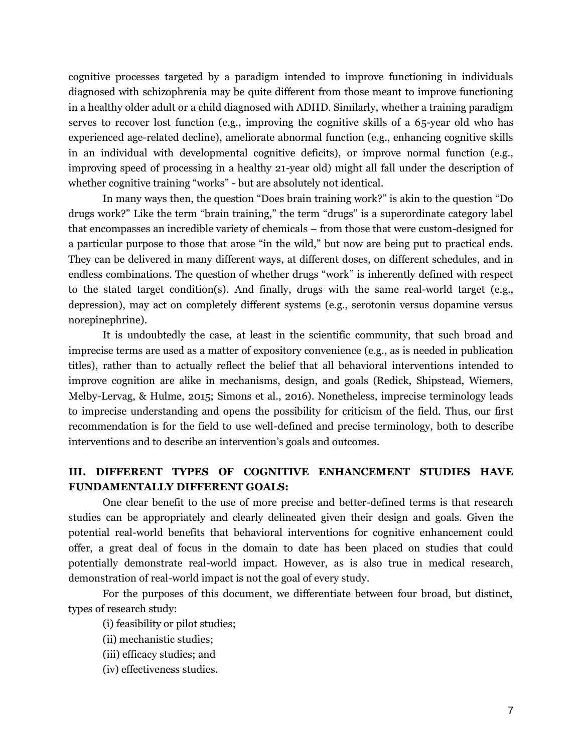cognitive processes targeted by a paradigm intended to improve functioning in individuals diagnosed with schizophrenia may be quite different from those meant to improve functioning in a healthy older adult or a child diagnosed with ADHD. Similarly, whether a training paradigm serves to recover lost function (e.g., improving the cognitive skills of a 65-year old who has experienced age-related decline), ameliorate abnormal function (e.g., enhancing cognitive skills in an individual with developmental cognitive deficits), or improve normal function (e.g., improving speed of processing in a healthy 21-year old) might all fall under the description of whether cognitive training "works" - but are absolutely not identical.

In many ways then, the question "Does brain training work?" is akin to the question "Do drugs work?" Like the term "brain training," the term "drugs" is a superordinate category label that encompasses an incredible variety of chemicals – from those that were custom-designed for a particular purpose to those that arose "in the wild," but now are being put to practical ends. They can be delivered in many different ways, at different doses, on different schedules, and in endless combinations. The question of whether drugs "work" is inherently defined with respect to the stated target condition(s). And finally, drugs with the same real-world target (e.g., depression), may act on completely different systems (e.g., serotonin versus dopamine versus norepinephrine).

It is undoubtedly the case, at least in the scientific community, that such broad and imprecise terms are used as a matter of expository convenience (e.g., as is needed in publication titles), rather than to actually reflect the belief that all behavioral interventions intended to improve cognition are alike in mechanisms, design, and goals (Redick, Shipstead, Wiemers, Melby-Lervag, & Hulme, 2015; Simons et al., 2016). Nonetheless, imprecise terminology leads to imprecise understanding and opens the possibility for criticism of the field. Thus, our first recommendation is for the field to use well-defined and precise terminology, both to describe interventions and to describe an intervention's goals and outcomes.

# **III. DIFFERENT TYPES OF COGNITIVE ENHANCEMENT STUDIES HAVE FUNDAMENTALLY DIFFERENT GOALS:**

One clear benefit to the use of more precise and better-defined terms is that research studies can be appropriately and clearly delineated given their design and goals. Given the potential real-world benefits that behavioral interventions for cognitive enhancement could offer, a great deal of focus in the domain to date has been placed on studies that could potentially demonstrate real-world impact. However, as is also true in medical research, demonstration of real-world impact is not the goal of every study.

For the purposes of this document, we differentiate between four broad, but distinct, types of research study:

(i) feasibility or pilot studies;

- (ii) mechanistic studies;
- (iii) efficacy studies; and
- (iv) effectiveness studies.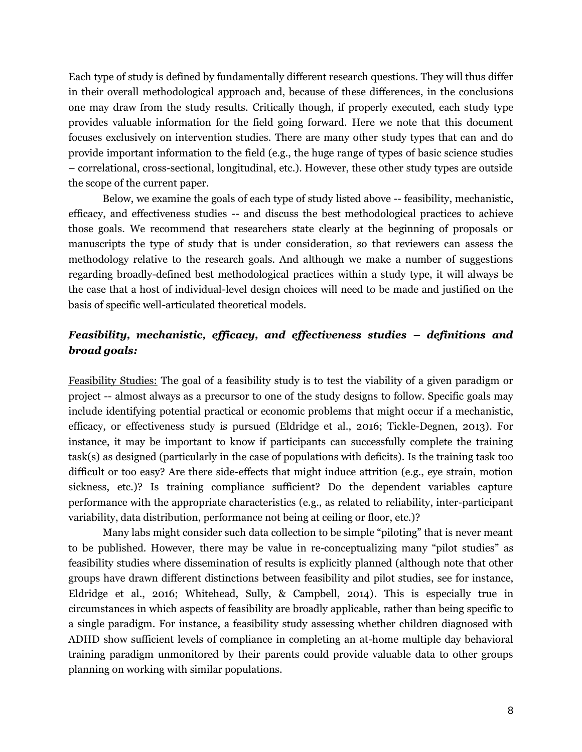Each type of study is defined by fundamentally different research questions. They will thus differ in their overall methodological approach and, because of these differences, in the conclusions one may draw from the study results. Critically though, if properly executed, each study type provides valuable information for the field going forward. Here we note that this document focuses exclusively on intervention studies. There are many other study types that can and do provide important information to the field (e.g., the huge range of types of basic science studies – correlational, cross-sectional, longitudinal, etc.). However, these other study types are outside the scope of the current paper.

Below, we examine the goals of each type of study listed above -- feasibility, mechanistic, efficacy, and effectiveness studies -- and discuss the best methodological practices to achieve those goals. We recommend that researchers state clearly at the beginning of proposals or manuscripts the type of study that is under consideration, so that reviewers can assess the methodology relative to the research goals. And although we make a number of suggestions regarding broadly-defined best methodological practices within a study type, it will always be the case that a host of individual-level design choices will need to be made and justified on the basis of specific well-articulated theoretical models.

# *Feasibility, mechanistic, efficacy, and effectiveness studies – definitions and broad goals:*

Feasibility Studies: The goal of a feasibility study is to test the viability of a given paradigm or project -- almost always as a precursor to one of the study designs to follow. Specific goals may include identifying potential practical or economic problems that might occur if a mechanistic, efficacy, or effectiveness study is pursued (Eldridge et al., 2016; Tickle-Degnen, 2013). For instance, it may be important to know if participants can successfully complete the training task(s) as designed (particularly in the case of populations with deficits). Is the training task too difficult or too easy? Are there side-effects that might induce attrition (e.g., eye strain, motion sickness, etc.)? Is training compliance sufficient? Do the dependent variables capture performance with the appropriate characteristics (e.g., as related to reliability, inter-participant variability, data distribution, performance not being at ceiling or floor, etc.)?

Many labs might consider such data collection to be simple "piloting" that is never meant to be published. However, there may be value in re-conceptualizing many "pilot studies" as feasibility studies where dissemination of results is explicitly planned (although note that other groups have drawn different distinctions between feasibility and pilot studies, see for instance, Eldridge et al., 2016; Whitehead, Sully, & Campbell, 2014). This is especially true in circumstances in which aspects of feasibility are broadly applicable, rather than being specific to a single paradigm. For instance, a feasibility study assessing whether children diagnosed with ADHD show sufficient levels of compliance in completing an at-home multiple day behavioral training paradigm unmonitored by their parents could provide valuable data to other groups planning on working with similar populations.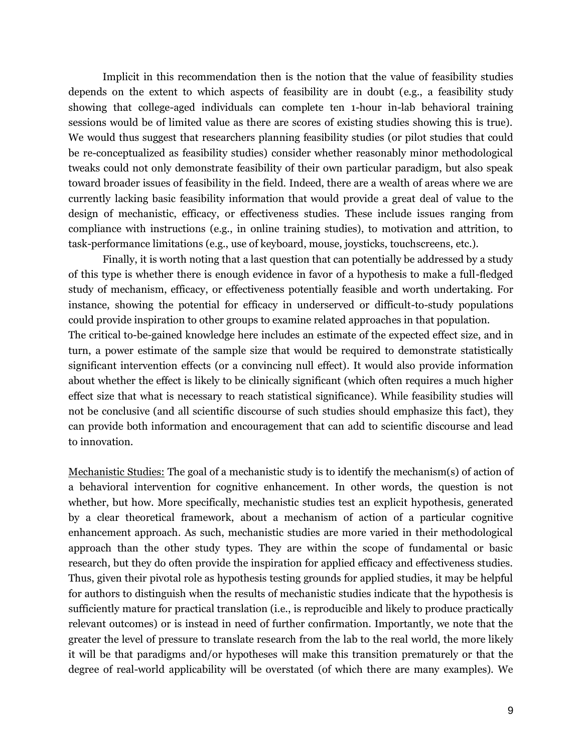Implicit in this recommendation then is the notion that the value of feasibility studies depends on the extent to which aspects of feasibility are in doubt (e.g., a feasibility study showing that college-aged individuals can complete ten 1-hour in-lab behavioral training sessions would be of limited value as there are scores of existing studies showing this is true). We would thus suggest that researchers planning feasibility studies (or pilot studies that could be re-conceptualized as feasibility studies) consider whether reasonably minor methodological tweaks could not only demonstrate feasibility of their own particular paradigm, but also speak toward broader issues of feasibility in the field. Indeed, there are a wealth of areas where we are currently lacking basic feasibility information that would provide a great deal of value to the design of mechanistic, efficacy, or effectiveness studies. These include issues ranging from compliance with instructions (e.g., in online training studies), to motivation and attrition, to task-performance limitations (e.g., use of keyboard, mouse, joysticks, touchscreens, etc.).

Finally, it is worth noting that a last question that can potentially be addressed by a study of this type is whether there is enough evidence in favor of a hypothesis to make a full-fledged study of mechanism, efficacy, or effectiveness potentially feasible and worth undertaking. For instance, showing the potential for efficacy in underserved or difficult-to-study populations could provide inspiration to other groups to examine related approaches in that population. The critical to-be-gained knowledge here includes an estimate of the expected effect size, and in turn, a power estimate of the sample size that would be required to demonstrate statistically significant intervention effects (or a convincing null effect). It would also provide information about whether the effect is likely to be clinically significant (which often requires a much higher effect size that what is necessary to reach statistical significance). While feasibility studies will

not be conclusive (and all scientific discourse of such studies should emphasize this fact), they can provide both information and encouragement that can add to scientific discourse and lead to innovation.

Mechanistic Studies: The goal of a mechanistic study is to identify the mechanism(s) of action of a behavioral intervention for cognitive enhancement. In other words, the question is not whether, but how. More specifically, mechanistic studies test an explicit hypothesis, generated by a clear theoretical framework, about a mechanism of action of a particular cognitive enhancement approach. As such, mechanistic studies are more varied in their methodological approach than the other study types. They are within the scope of fundamental or basic research, but they do often provide the inspiration for applied efficacy and effectiveness studies. Thus, given their pivotal role as hypothesis testing grounds for applied studies, it may be helpful for authors to distinguish when the results of mechanistic studies indicate that the hypothesis is sufficiently mature for practical translation (i.e., is reproducible and likely to produce practically relevant outcomes) or is instead in need of further confirmation. Importantly, we note that the greater the level of pressure to translate research from the lab to the real world, the more likely it will be that paradigms and/or hypotheses will make this transition prematurely or that the degree of real-world applicability will be overstated (of which there are many examples). We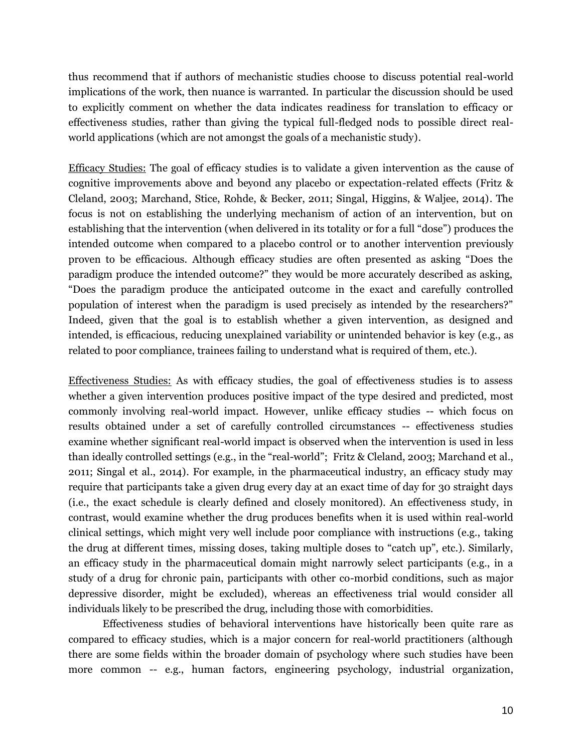thus recommend that if authors of mechanistic studies choose to discuss potential real-world implications of the work, then nuance is warranted. In particular the discussion should be used to explicitly comment on whether the data indicates readiness for translation to efficacy or effectiveness studies, rather than giving the typical full-fledged nods to possible direct realworld applications (which are not amongst the goals of a mechanistic study).

Efficacy Studies: The goal of efficacy studies is to validate a given intervention as the cause of cognitive improvements above and beyond any placebo or expectation-related effects (Fritz & Cleland, 2003; Marchand, Stice, Rohde, & Becker, 2011; Singal, Higgins, & Waljee, 2014). The focus is not on establishing the underlying mechanism of action of an intervention, but on establishing that the intervention (when delivered in its totality or for a full "dose") produces the intended outcome when compared to a placebo control or to another intervention previously proven to be efficacious. Although efficacy studies are often presented as asking "Does the paradigm produce the intended outcome?" they would be more accurately described as asking, "Does the paradigm produce the anticipated outcome in the exact and carefully controlled population of interest when the paradigm is used precisely as intended by the researchers?" Indeed, given that the goal is to establish whether a given intervention, as designed and intended, is efficacious, reducing unexplained variability or unintended behavior is key (e.g., as related to poor compliance, trainees failing to understand what is required of them, etc.).

Effectiveness Studies: As with efficacy studies, the goal of effectiveness studies is to assess whether a given intervention produces positive impact of the type desired and predicted, most commonly involving real-world impact. However, unlike efficacy studies -- which focus on results obtained under a set of carefully controlled circumstances -- effectiveness studies examine whether significant real-world impact is observed when the intervention is used in less than ideally controlled settings (e.g., in the "real-world"; Fritz & Cleland, 2003; Marchand et al., 2011; Singal et al., 2014). For example, in the pharmaceutical industry, an efficacy study may require that participants take a given drug every day at an exact time of day for 30 straight days (i.e., the exact schedule is clearly defined and closely monitored). An effectiveness study, in contrast, would examine whether the drug produces benefits when it is used within real-world clinical settings, which might very well include poor compliance with instructions (e.g., taking the drug at different times, missing doses, taking multiple doses to "catch up", etc.). Similarly, an efficacy study in the pharmaceutical domain might narrowly select participants (e.g., in a study of a drug for chronic pain, participants with other co-morbid conditions, such as major depressive disorder, might be excluded), whereas an effectiveness trial would consider all individuals likely to be prescribed the drug, including those with comorbidities.

Effectiveness studies of behavioral interventions have historically been quite rare as compared to efficacy studies, which is a major concern for real-world practitioners (although there are some fields within the broader domain of psychology where such studies have been more common -- e.g., human factors, engineering psychology, industrial organization,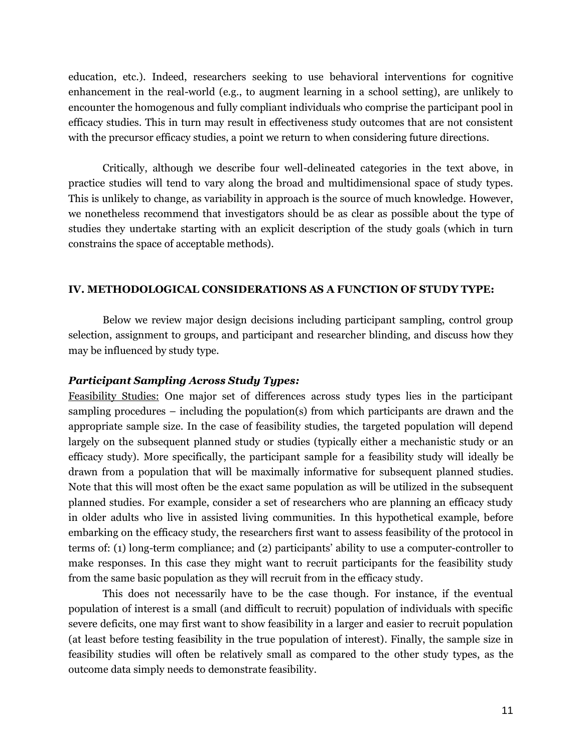education, etc.). Indeed, researchers seeking to use behavioral interventions for cognitive enhancement in the real-world (e.g., to augment learning in a school setting), are unlikely to encounter the homogenous and fully compliant individuals who comprise the participant pool in efficacy studies. This in turn may result in effectiveness study outcomes that are not consistent with the precursor efficacy studies, a point we return to when considering future directions.

Critically, although we describe four well-delineated categories in the text above, in practice studies will tend to vary along the broad and multidimensional space of study types. This is unlikely to change, as variability in approach is the source of much knowledge. However, we nonetheless recommend that investigators should be as clear as possible about the type of studies they undertake starting with an explicit description of the study goals (which in turn constrains the space of acceptable methods).

## **IV. METHODOLOGICAL CONSIDERATIONS AS A FUNCTION OF STUDY TYPE:**

Below we review major design decisions including participant sampling, control group selection, assignment to groups, and participant and researcher blinding, and discuss how they may be influenced by study type.

## *Participant Sampling Across Study Types:*

Feasibility Studies: One major set of differences across study types lies in the participant sampling procedures – including the population(s) from which participants are drawn and the appropriate sample size. In the case of feasibility studies, the targeted population will depend largely on the subsequent planned study or studies (typically either a mechanistic study or an efficacy study). More specifically, the participant sample for a feasibility study will ideally be drawn from a population that will be maximally informative for subsequent planned studies. Note that this will most often be the exact same population as will be utilized in the subsequent planned studies. For example, consider a set of researchers who are planning an efficacy study in older adults who live in assisted living communities. In this hypothetical example, before embarking on the efficacy study, the researchers first want to assess feasibility of the protocol in terms of: (1) long-term compliance; and (2) participants' ability to use a computer-controller to make responses. In this case they might want to recruit participants for the feasibility study from the same basic population as they will recruit from in the efficacy study.

This does not necessarily have to be the case though. For instance, if the eventual population of interest is a small (and difficult to recruit) population of individuals with specific severe deficits, one may first want to show feasibility in a larger and easier to recruit population (at least before testing feasibility in the true population of interest). Finally, the sample size in feasibility studies will often be relatively small as compared to the other study types, as the outcome data simply needs to demonstrate feasibility.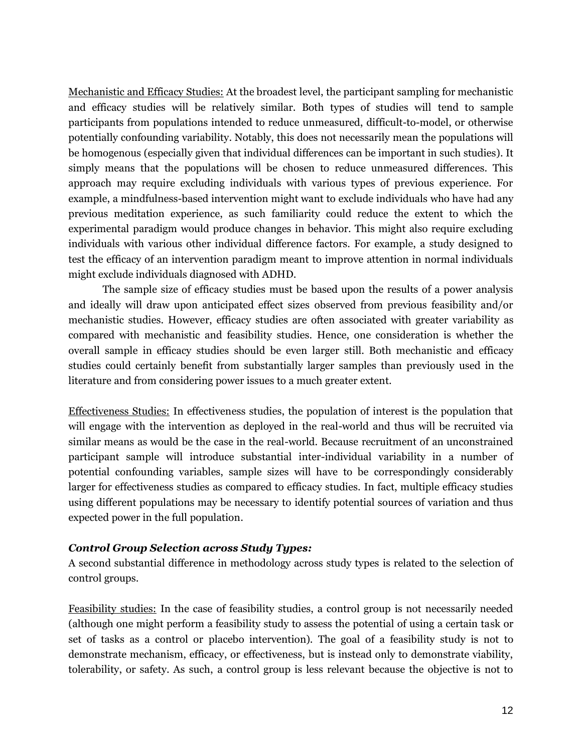Mechanistic and Efficacy Studies: At the broadest level, the participant sampling for mechanistic and efficacy studies will be relatively similar. Both types of studies will tend to sample participants from populations intended to reduce unmeasured, difficult-to-model, or otherwise potentially confounding variability. Notably, this does not necessarily mean the populations will be homogenous (especially given that individual differences can be important in such studies). It simply means that the populations will be chosen to reduce unmeasured differences. This approach may require excluding individuals with various types of previous experience. For example, a mindfulness-based intervention might want to exclude individuals who have had any previous meditation experience, as such familiarity could reduce the extent to which the experimental paradigm would produce changes in behavior. This might also require excluding individuals with various other individual difference factors. For example, a study designed to test the efficacy of an intervention paradigm meant to improve attention in normal individuals might exclude individuals diagnosed with ADHD.

The sample size of efficacy studies must be based upon the results of a power analysis and ideally will draw upon anticipated effect sizes observed from previous feasibility and/or mechanistic studies. However, efficacy studies are often associated with greater variability as compared with mechanistic and feasibility studies. Hence, one consideration is whether the overall sample in efficacy studies should be even larger still. Both mechanistic and efficacy studies could certainly benefit from substantially larger samples than previously used in the literature and from considering power issues to a much greater extent.

Effectiveness Studies: In effectiveness studies, the population of interest is the population that will engage with the intervention as deployed in the real-world and thus will be recruited via similar means as would be the case in the real-world. Because recruitment of an unconstrained participant sample will introduce substantial inter-individual variability in a number of potential confounding variables, sample sizes will have to be correspondingly considerably larger for effectiveness studies as compared to efficacy studies. In fact, multiple efficacy studies using different populations may be necessary to identify potential sources of variation and thus expected power in the full population.

## *Control Group Selection across Study Types:*

A second substantial difference in methodology across study types is related to the selection of control groups.

Feasibility studies: In the case of feasibility studies, a control group is not necessarily needed (although one might perform a feasibility study to assess the potential of using a certain task or set of tasks as a control or placebo intervention). The goal of a feasibility study is not to demonstrate mechanism, efficacy, or effectiveness, but is instead only to demonstrate viability, tolerability, or safety. As such, a control group is less relevant because the objective is not to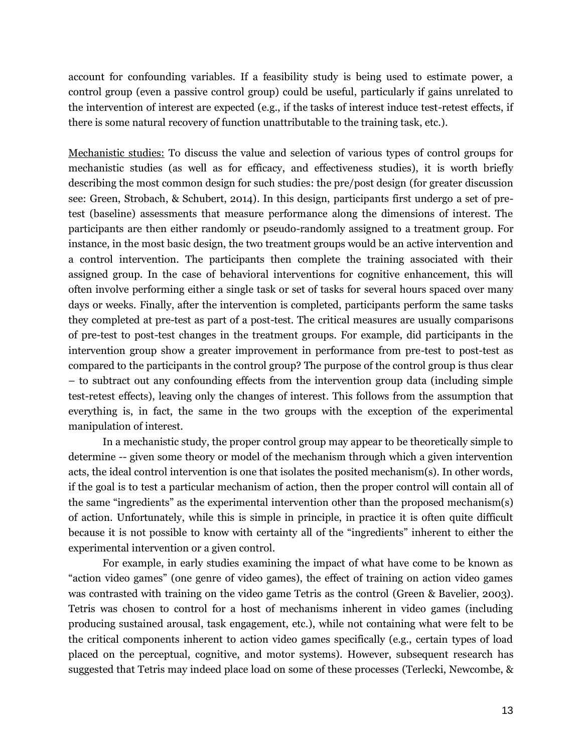account for confounding variables. If a feasibility study is being used to estimate power, a control group (even a passive control group) could be useful, particularly if gains unrelated to the intervention of interest are expected (e.g., if the tasks of interest induce test-retest effects, if there is some natural recovery of function unattributable to the training task, etc.).

Mechanistic studies: To discuss the value and selection of various types of control groups for mechanistic studies (as well as for efficacy, and effectiveness studies), it is worth briefly describing the most common design for such studies: the pre/post design (for greater discussion see: Green, Strobach, & Schubert, 2014). In this design, participants first undergo a set of pretest (baseline) assessments that measure performance along the dimensions of interest. The participants are then either randomly or pseudo-randomly assigned to a treatment group. For instance, in the most basic design, the two treatment groups would be an active intervention and a control intervention. The participants then complete the training associated with their assigned group. In the case of behavioral interventions for cognitive enhancement, this will often involve performing either a single task or set of tasks for several hours spaced over many days or weeks. Finally, after the intervention is completed, participants perform the same tasks they completed at pre-test as part of a post-test. The critical measures are usually comparisons of pre-test to post-test changes in the treatment groups. For example, did participants in the intervention group show a greater improvement in performance from pre-test to post-test as compared to the participants in the control group? The purpose of the control group is thus clear – to subtract out any confounding effects from the intervention group data (including simple test-retest effects), leaving only the changes of interest. This follows from the assumption that everything is, in fact, the same in the two groups with the exception of the experimental manipulation of interest.

In a mechanistic study, the proper control group may appear to be theoretically simple to determine -- given some theory or model of the mechanism through which a given intervention acts, the ideal control intervention is one that isolates the posited mechanism(s). In other words, if the goal is to test a particular mechanism of action, then the proper control will contain all of the same "ingredients" as the experimental intervention other than the proposed mechanism(s) of action. Unfortunately, while this is simple in principle, in practice it is often quite difficult because it is not possible to know with certainty all of the "ingredients" inherent to either the experimental intervention or a given control.

For example, in early studies examining the impact of what have come to be known as "action video games" (one genre of video games), the effect of training on action video games was contrasted with training on the video game Tetris as the control (Green & Bavelier, 2003). Tetris was chosen to control for a host of mechanisms inherent in video games (including producing sustained arousal, task engagement, etc.), while not containing what were felt to be the critical components inherent to action video games specifically (e.g., certain types of load placed on the perceptual, cognitive, and motor systems). However, subsequent research has suggested that Tetris may indeed place load on some of these processes (Terlecki, Newcombe, &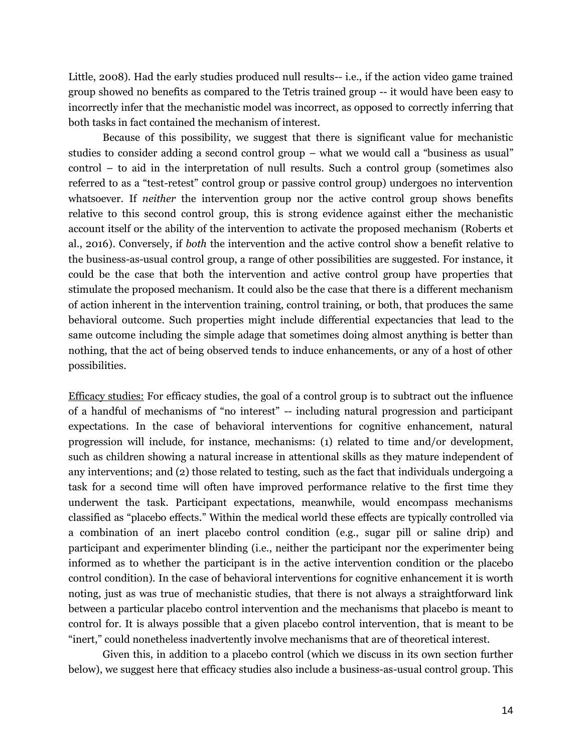Little, 2008). Had the early studies produced null results-- i.e., if the action video game trained group showed no benefits as compared to the Tetris trained group -- it would have been easy to incorrectly infer that the mechanistic model was incorrect, as opposed to correctly inferring that both tasks in fact contained the mechanism of interest.

Because of this possibility, we suggest that there is significant value for mechanistic studies to consider adding a second control group – what we would call a "business as usual" control – to aid in the interpretation of null results. Such a control group (sometimes also referred to as a "test-retest" control group or passive control group) undergoes no intervention whatsoever. If *neither* the intervention group nor the active control group shows benefits relative to this second control group, this is strong evidence against either the mechanistic account itself or the ability of the intervention to activate the proposed mechanism (Roberts et al., 2016). Conversely, if *both* the intervention and the active control show a benefit relative to the business-as-usual control group, a range of other possibilities are suggested. For instance, it could be the case that both the intervention and active control group have properties that stimulate the proposed mechanism. It could also be the case that there is a different mechanism of action inherent in the intervention training, control training, or both, that produces the same behavioral outcome. Such properties might include differential expectancies that lead to the same outcome including the simple adage that sometimes doing almost anything is better than nothing, that the act of being observed tends to induce enhancements, or any of a host of other possibilities.

Efficacy studies: For efficacy studies, the goal of a control group is to subtract out the influence of a handful of mechanisms of "no interest" -- including natural progression and participant expectations. In the case of behavioral interventions for cognitive enhancement, natural progression will include, for instance, mechanisms: (1) related to time and/or development, such as children showing a natural increase in attentional skills as they mature independent of any interventions; and (2) those related to testing, such as the fact that individuals undergoing a task for a second time will often have improved performance relative to the first time they underwent the task. Participant expectations, meanwhile, would encompass mechanisms classified as "placebo effects." Within the medical world these effects are typically controlled via a combination of an inert placebo control condition (e.g., sugar pill or saline drip) and participant and experimenter blinding (i.e., neither the participant nor the experimenter being informed as to whether the participant is in the active intervention condition or the placebo control condition). In the case of behavioral interventions for cognitive enhancement it is worth noting, just as was true of mechanistic studies, that there is not always a straightforward link between a particular placebo control intervention and the mechanisms that placebo is meant to control for. It is always possible that a given placebo control intervention, that is meant to be "inert," could nonetheless inadvertently involve mechanisms that are of theoretical interest.

Given this, in addition to a placebo control (which we discuss in its own section further below), we suggest here that efficacy studies also include a business-as-usual control group. This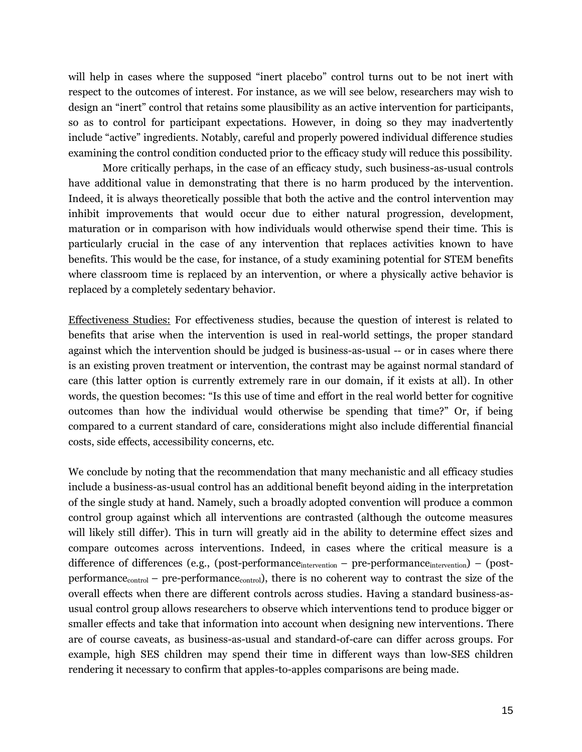will help in cases where the supposed "inert placebo" control turns out to be not inert with respect to the outcomes of interest. For instance, as we will see below, researchers may wish to design an "inert" control that retains some plausibility as an active intervention for participants, so as to control for participant expectations. However, in doing so they may inadvertently include "active" ingredients. Notably, careful and properly powered individual difference studies examining the control condition conducted prior to the efficacy study will reduce this possibility.

More critically perhaps, in the case of an efficacy study, such business-as-usual controls have additional value in demonstrating that there is no harm produced by the intervention. Indeed, it is always theoretically possible that both the active and the control intervention may inhibit improvements that would occur due to either natural progression, development, maturation or in comparison with how individuals would otherwise spend their time. This is particularly crucial in the case of any intervention that replaces activities known to have benefits. This would be the case, for instance, of a study examining potential for STEM benefits where classroom time is replaced by an intervention, or where a physically active behavior is replaced by a completely sedentary behavior.

Effectiveness Studies: For effectiveness studies, because the question of interest is related to benefits that arise when the intervention is used in real-world settings, the proper standard against which the intervention should be judged is business-as-usual -- or in cases where there is an existing proven treatment or intervention, the contrast may be against normal standard of care (this latter option is currently extremely rare in our domain, if it exists at all). In other words, the question becomes: "Is this use of time and effort in the real world better for cognitive outcomes than how the individual would otherwise be spending that time?" Or, if being compared to a current standard of care, considerations might also include differential financial costs, side effects, accessibility concerns, etc.

We conclude by noting that the recommendation that many mechanistic and all efficacy studies include a business-as-usual control has an additional benefit beyond aiding in the interpretation of the single study at hand. Namely, such a broadly adopted convention will produce a common control group against which all interventions are contrasted (although the outcome measures will likely still differ). This in turn will greatly aid in the ability to determine effect sizes and compare outcomes across interventions. Indeed, in cases where the critical measure is a difference of differences (e.g., (post-performance<sub>intervention</sub> – pre-performance<sub>intervention</sub>) – (postperformancecontrol – pre-performancecontrol), there is no coherent way to contrast the size of the overall effects when there are different controls across studies. Having a standard business-asusual control group allows researchers to observe which interventions tend to produce bigger or smaller effects and take that information into account when designing new interventions. There are of course caveats, as business-as-usual and standard-of-care can differ across groups. For example, high SES children may spend their time in different ways than low-SES children rendering it necessary to confirm that apples-to-apples comparisons are being made.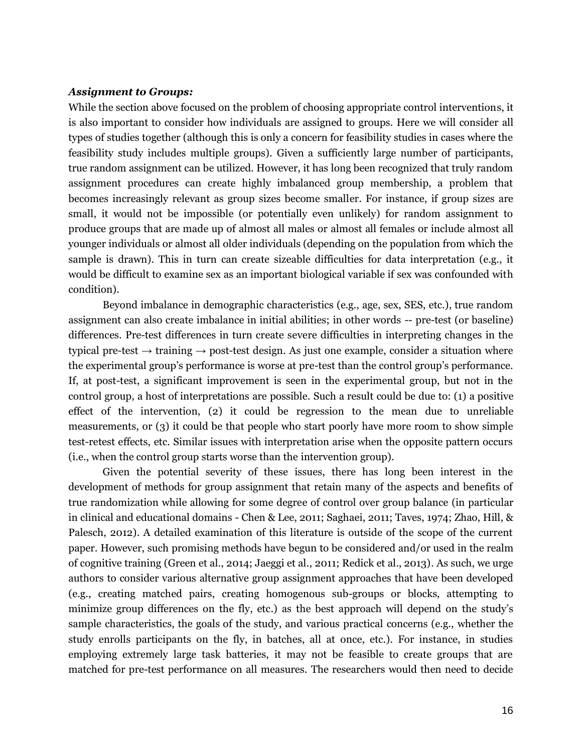### *Assignment to Groups:*

While the section above focused on the problem of choosing appropriate control interventions, it is also important to consider how individuals are assigned to groups. Here we will consider all types of studies together (although this is only a concern for feasibility studies in cases where the feasibility study includes multiple groups). Given a sufficiently large number of participants, true random assignment can be utilized. However, it has long been recognized that truly random assignment procedures can create highly imbalanced group membership, a problem that becomes increasingly relevant as group sizes become smaller. For instance, if group sizes are small, it would not be impossible (or potentially even unlikely) for random assignment to produce groups that are made up of almost all males or almost all females or include almost all younger individuals or almost all older individuals (depending on the population from which the sample is drawn). This in turn can create sizeable difficulties for data interpretation (e.g., it would be difficult to examine sex as an important biological variable if sex was confounded with condition).

Beyond imbalance in demographic characteristics (e.g., age, sex, SES, etc.), true random assignment can also create imbalance in initial abilities; in other words -- pre-test (or baseline) differences. Pre-test differences in turn create severe difficulties in interpreting changes in the typical pre-test  $\rightarrow$  training  $\rightarrow$  post-test design. As just one example, consider a situation where the experimental group's performance is worse at pre-test than the control group's performance. If, at post-test, a significant improvement is seen in the experimental group, but not in the control group, a host of interpretations are possible. Such a result could be due to: (1) a positive effect of the intervention, (2) it could be regression to the mean due to unreliable measurements, or (3) it could be that people who start poorly have more room to show simple test-retest effects, etc. Similar issues with interpretation arise when the opposite pattern occurs (i.e., when the control group starts worse than the intervention group).

Given the potential severity of these issues, there has long been interest in the development of methods for group assignment that retain many of the aspects and benefits of true randomization while allowing for some degree of control over group balance (in particular in clinical and educational domains - Chen & Lee, 2011; Saghaei, 2011; Taves, 1974; Zhao, Hill, & Palesch, 2012). A detailed examination of this literature is outside of the scope of the current paper. However, such promising methods have begun to be considered and/or used in the realm of cognitive training (Green et al., 2014; Jaeggi et al., 2011; Redick et al., 2013). As such, we urge authors to consider various alternative group assignment approaches that have been developed (e.g., creating matched pairs, creating homogenous sub-groups or blocks, attempting to minimize group differences on the fly, etc.) as the best approach will depend on the study's sample characteristics, the goals of the study, and various practical concerns (e.g., whether the study enrolls participants on the fly, in batches, all at once, etc.). For instance, in studies employing extremely large task batteries, it may not be feasible to create groups that are matched for pre-test performance on all measures. The researchers would then need to decide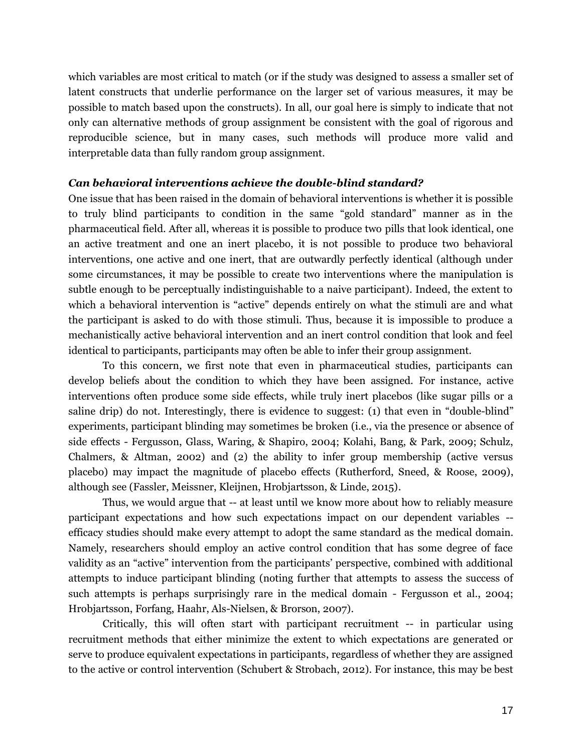which variables are most critical to match (or if the study was designed to assess a smaller set of latent constructs that underlie performance on the larger set of various measures, it may be possible to match based upon the constructs). In all, our goal here is simply to indicate that not only can alternative methods of group assignment be consistent with the goal of rigorous and reproducible science, but in many cases, such methods will produce more valid and interpretable data than fully random group assignment.

### *Can behavioral interventions achieve the double-blind standard?*

One issue that has been raised in the domain of behavioral interventions is whether it is possible to truly blind participants to condition in the same "gold standard" manner as in the pharmaceutical field. After all, whereas it is possible to produce two pills that look identical, one an active treatment and one an inert placebo, it is not possible to produce two behavioral interventions, one active and one inert, that are outwardly perfectly identical (although under some circumstances, it may be possible to create two interventions where the manipulation is subtle enough to be perceptually indistinguishable to a naive participant). Indeed, the extent to which a behavioral intervention is "active" depends entirely on what the stimuli are and what the participant is asked to do with those stimuli. Thus, because it is impossible to produce a mechanistically active behavioral intervention and an inert control condition that look and feel identical to participants, participants may often be able to infer their group assignment.

To this concern, we first note that even in pharmaceutical studies, participants can develop beliefs about the condition to which they have been assigned. For instance, active interventions often produce some side effects, while truly inert placebos (like sugar pills or a saline drip) do not. Interestingly, there is evidence to suggest: (1) that even in "double-blind" experiments, participant blinding may sometimes be broken (i.e., via the presence or absence of side effects - Fergusson, Glass, Waring, & Shapiro, 2004; Kolahi, Bang, & Park, 2009; Schulz, Chalmers, & Altman, 2002) and (2) the ability to infer group membership (active versus placebo) may impact the magnitude of placebo effects (Rutherford, Sneed, & Roose, 2009), although see (Fassler, Meissner, Kleijnen, Hrobjartsson, & Linde, 2015).

Thus, we would argue that -- at least until we know more about how to reliably measure participant expectations and how such expectations impact on our dependent variables - efficacy studies should make every attempt to adopt the same standard as the medical domain. Namely, researchers should employ an active control condition that has some degree of face validity as an "active" intervention from the participants' perspective, combined with additional attempts to induce participant blinding (noting further that attempts to assess the success of such attempts is perhaps surprisingly rare in the medical domain - Fergusson et al., 2004; Hrobjartsson, Forfang, Haahr, Als-Nielsen, & Brorson, 2007).

Critically, this will often start with participant recruitment -- in particular using recruitment methods that either minimize the extent to which expectations are generated or serve to produce equivalent expectations in participants, regardless of whether they are assigned to the active or control intervention (Schubert & Strobach, 2012). For instance, this may be best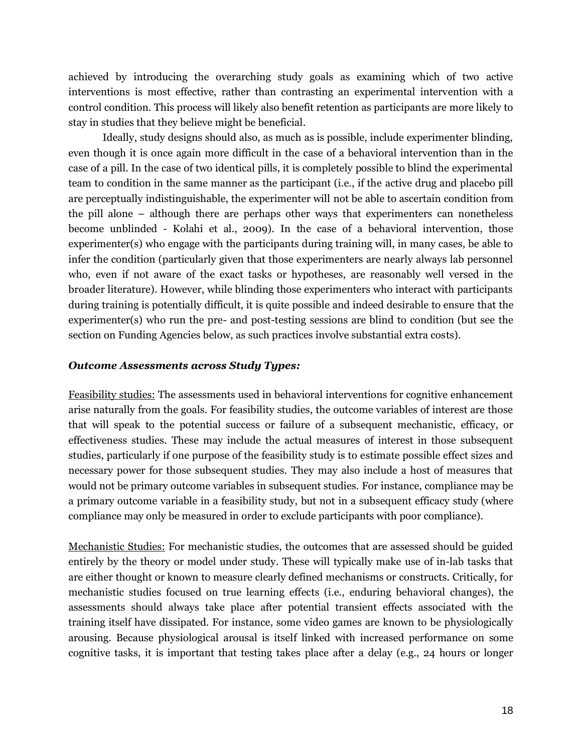achieved by introducing the overarching study goals as examining which of two active interventions is most effective, rather than contrasting an experimental intervention with a control condition. This process will likely also benefit retention as participants are more likely to stay in studies that they believe might be beneficial.

Ideally, study designs should also, as much as is possible, include experimenter blinding, even though it is once again more difficult in the case of a behavioral intervention than in the case of a pill. In the case of two identical pills, it is completely possible to blind the experimental team to condition in the same manner as the participant (i.e., if the active drug and placebo pill are perceptually indistinguishable, the experimenter will not be able to ascertain condition from the pill alone – although there are perhaps other ways that experimenters can nonetheless become unblinded - Kolahi et al., 2009). In the case of a behavioral intervention, those experimenter(s) who engage with the participants during training will, in many cases, be able to infer the condition (particularly given that those experimenters are nearly always lab personnel who, even if not aware of the exact tasks or hypotheses, are reasonably well versed in the broader literature). However, while blinding those experimenters who interact with participants during training is potentially difficult, it is quite possible and indeed desirable to ensure that the experimenter(s) who run the pre- and post-testing sessions are blind to condition (but see the section on Funding Agencies below, as such practices involve substantial extra costs).

### *Outcome Assessments across Study Types:*

Feasibility studies: The assessments used in behavioral interventions for cognitive enhancement arise naturally from the goals. For feasibility studies, the outcome variables of interest are those that will speak to the potential success or failure of a subsequent mechanistic, efficacy, or effectiveness studies. These may include the actual measures of interest in those subsequent studies, particularly if one purpose of the feasibility study is to estimate possible effect sizes and necessary power for those subsequent studies. They may also include a host of measures that would not be primary outcome variables in subsequent studies. For instance, compliance may be a primary outcome variable in a feasibility study, but not in a subsequent efficacy study (where compliance may only be measured in order to exclude participants with poor compliance).

Mechanistic Studies: For mechanistic studies, the outcomes that are assessed should be guided entirely by the theory or model under study. These will typically make use of in-lab tasks that are either thought or known to measure clearly defined mechanisms or constructs. Critically, for mechanistic studies focused on true learning effects (i.e., enduring behavioral changes), the assessments should always take place after potential transient effects associated with the training itself have dissipated. For instance, some video games are known to be physiologically arousing. Because physiological arousal is itself linked with increased performance on some cognitive tasks, it is important that testing takes place after a delay (e.g., 24 hours or longer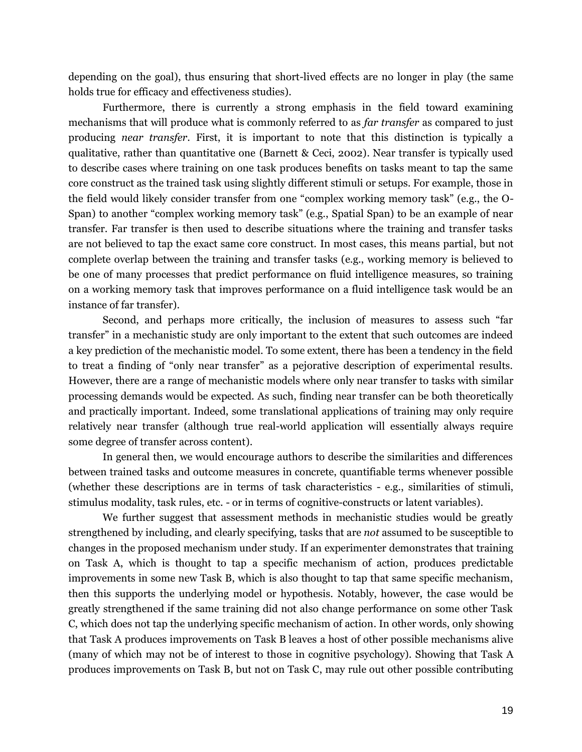depending on the goal), thus ensuring that short-lived effects are no longer in play (the same holds true for efficacy and effectiveness studies).

Furthermore, there is currently a strong emphasis in the field toward examining mechanisms that will produce what is commonly referred to as *far transfer* as compared to just producing *near transfer*. First, it is important to note that this distinction is typically a qualitative, rather than quantitative one (Barnett & Ceci, 2002). Near transfer is typically used to describe cases where training on one task produces benefits on tasks meant to tap the same core construct as the trained task using slightly different stimuli or setups. For example, those in the field would likely consider transfer from one "complex working memory task" (e.g., the O-Span) to another "complex working memory task" (e.g., Spatial Span) to be an example of near transfer. Far transfer is then used to describe situations where the training and transfer tasks are not believed to tap the exact same core construct. In most cases, this means partial, but not complete overlap between the training and transfer tasks (e.g., working memory is believed to be one of many processes that predict performance on fluid intelligence measures, so training on a working memory task that improves performance on a fluid intelligence task would be an instance of far transfer).

Second, and perhaps more critically, the inclusion of measures to assess such "far transfer" in a mechanistic study are only important to the extent that such outcomes are indeed a key prediction of the mechanistic model. To some extent, there has been a tendency in the field to treat a finding of "only near transfer" as a pejorative description of experimental results. However, there are a range of mechanistic models where only near transfer to tasks with similar processing demands would be expected. As such, finding near transfer can be both theoretically and practically important. Indeed, some translational applications of training may only require relatively near transfer (although true real-world application will essentially always require some degree of transfer across content).

In general then, we would encourage authors to describe the similarities and differences between trained tasks and outcome measures in concrete, quantifiable terms whenever possible (whether these descriptions are in terms of task characteristics - e.g., similarities of stimuli, stimulus modality, task rules, etc. - or in terms of cognitive-constructs or latent variables).

We further suggest that assessment methods in mechanistic studies would be greatly strengthened by including, and clearly specifying, tasks that are *not* assumed to be susceptible to changes in the proposed mechanism under study. If an experimenter demonstrates that training on Task A, which is thought to tap a specific mechanism of action, produces predictable improvements in some new Task B, which is also thought to tap that same specific mechanism, then this supports the underlying model or hypothesis. Notably, however, the case would be greatly strengthened if the same training did not also change performance on some other Task C, which does not tap the underlying specific mechanism of action. In other words, only showing that Task A produces improvements on Task B leaves a host of other possible mechanisms alive (many of which may not be of interest to those in cognitive psychology). Showing that Task A produces improvements on Task B, but not on Task C, may rule out other possible contributing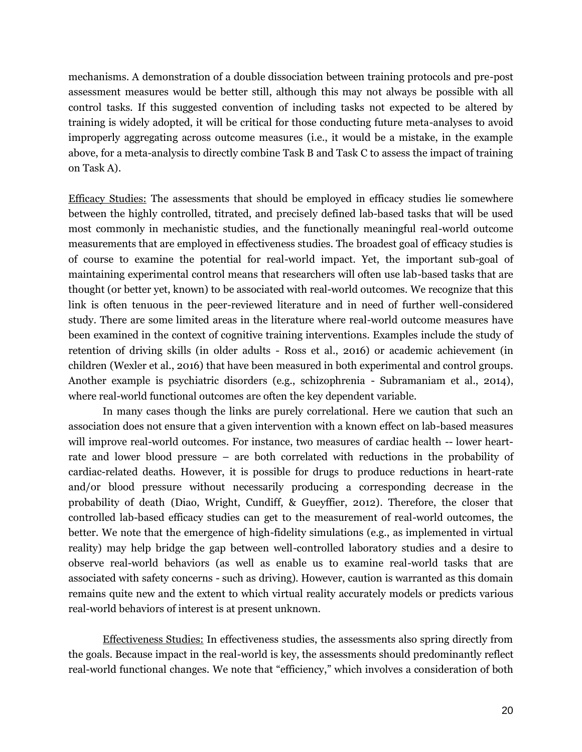mechanisms. A demonstration of a double dissociation between training protocols and pre-post assessment measures would be better still, although this may not always be possible with all control tasks. If this suggested convention of including tasks not expected to be altered by training is widely adopted, it will be critical for those conducting future meta-analyses to avoid improperly aggregating across outcome measures (i.e., it would be a mistake, in the example above, for a meta-analysis to directly combine Task B and Task C to assess the impact of training on Task A).

Efficacy Studies: The assessments that should be employed in efficacy studies lie somewhere between the highly controlled, titrated, and precisely defined lab-based tasks that will be used most commonly in mechanistic studies, and the functionally meaningful real-world outcome measurements that are employed in effectiveness studies. The broadest goal of efficacy studies is of course to examine the potential for real-world impact. Yet, the important sub-goal of maintaining experimental control means that researchers will often use lab-based tasks that are thought (or better yet, known) to be associated with real-world outcomes. We recognize that this link is often tenuous in the peer-reviewed literature and in need of further well-considered study. There are some limited areas in the literature where real-world outcome measures have been examined in the context of cognitive training interventions. Examples include the study of retention of driving skills (in older adults - Ross et al., 2016) or academic achievement (in children (Wexler et al., 2016) that have been measured in both experimental and control groups. Another example is psychiatric disorders (e.g., schizophrenia - Subramaniam et al., 2014), where real-world functional outcomes are often the key dependent variable.

In many cases though the links are purely correlational. Here we caution that such an association does not ensure that a given intervention with a known effect on lab-based measures will improve real-world outcomes. For instance, two measures of cardiac health -- lower heartrate and lower blood pressure – are both correlated with reductions in the probability of cardiac-related deaths. However, it is possible for drugs to produce reductions in heart-rate and/or blood pressure without necessarily producing a corresponding decrease in the probability of death (Diao, Wright, Cundiff, & Gueyffier, 2012). Therefore, the closer that controlled lab-based efficacy studies can get to the measurement of real-world outcomes, the better. We note that the emergence of high-fidelity simulations (e.g., as implemented in virtual reality) may help bridge the gap between well-controlled laboratory studies and a desire to observe real-world behaviors (as well as enable us to examine real-world tasks that are associated with safety concerns - such as driving). However, caution is warranted as this domain remains quite new and the extent to which virtual reality accurately models or predicts various real-world behaviors of interest is at present unknown.

Effectiveness Studies: In effectiveness studies, the assessments also spring directly from the goals. Because impact in the real-world is key, the assessments should predominantly reflect real-world functional changes. We note that "efficiency," which involves a consideration of both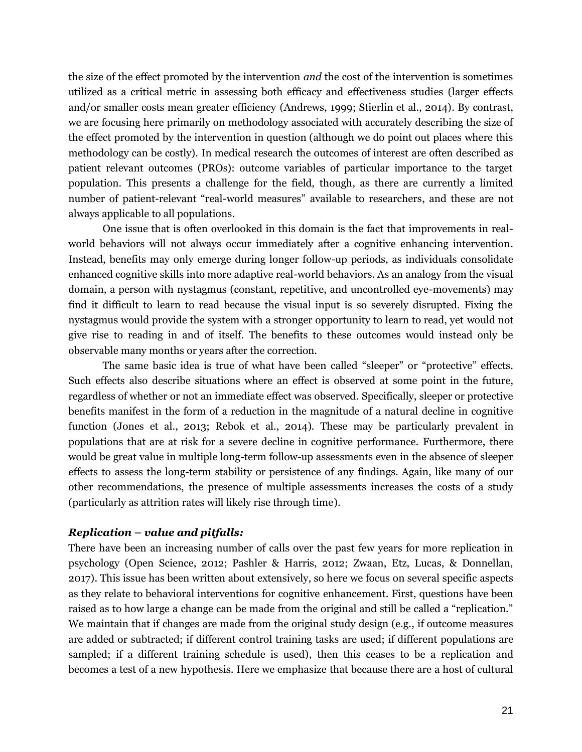the size of the effect promoted by the intervention *and* the cost of the intervention is sometimes utilized as a critical metric in assessing both efficacy and effectiveness studies (larger effects and/or smaller costs mean greater efficiency (Andrews, 1999; Stierlin et al., 2014). By contrast, we are focusing here primarily on methodology associated with accurately describing the size of the effect promoted by the intervention in question (although we do point out places where this methodology can be costly). In medical research the outcomes of interest are often described as patient relevant outcomes (PROs): outcome variables of particular importance to the target population. This presents a challenge for the field, though, as there are currently a limited number of patient-relevant "real-world measures" available to researchers, and these are not always applicable to all populations.

One issue that is often overlooked in this domain is the fact that improvements in realworld behaviors will not always occur immediately after a cognitive enhancing intervention. Instead, benefits may only emerge during longer follow-up periods, as individuals consolidate enhanced cognitive skills into more adaptive real-world behaviors. As an analogy from the visual domain, a person with nystagmus (constant, repetitive, and uncontrolled eye-movements) may find it difficult to learn to read because the visual input is so severely disrupted. Fixing the nystagmus would provide the system with a stronger opportunity to learn to read, yet would not give rise to reading in and of itself. The benefits to these outcomes would instead only be observable many months or years after the correction.

The same basic idea is true of what have been called "sleeper" or "protective" effects. Such effects also describe situations where an effect is observed at some point in the future, regardless of whether or not an immediate effect was observed. Specifically, sleeper or protective benefits manifest in the form of a reduction in the magnitude of a natural decline in cognitive function (Jones et al., 2013; Rebok et al., 2014). These may be particularly prevalent in populations that are at risk for a severe decline in cognitive performance. Furthermore, there would be great value in multiple long-term follow-up assessments even in the absence of sleeper effects to assess the long-term stability or persistence of any findings. Again, like many of our other recommendations, the presence of multiple assessments increases the costs of a study (particularly as attrition rates will likely rise through time).

## *Replication – value and pitfalls:*

There have been an increasing number of calls over the past few years for more replication in psychology (Open Science, 2012; Pashler & Harris, 2012; Zwaan, Etz, Lucas, & Donnellan, 2017). This issue has been written about extensively, so here we focus on several specific aspects as they relate to behavioral interventions for cognitive enhancement. First, questions have been raised as to how large a change can be made from the original and still be called a "replication." We maintain that if changes are made from the original study design (e.g., if outcome measures are added or subtracted; if different control training tasks are used; if different populations are sampled; if a different training schedule is used), then this ceases to be a replication and becomes a test of a new hypothesis. Here we emphasize that because there are a host of cultural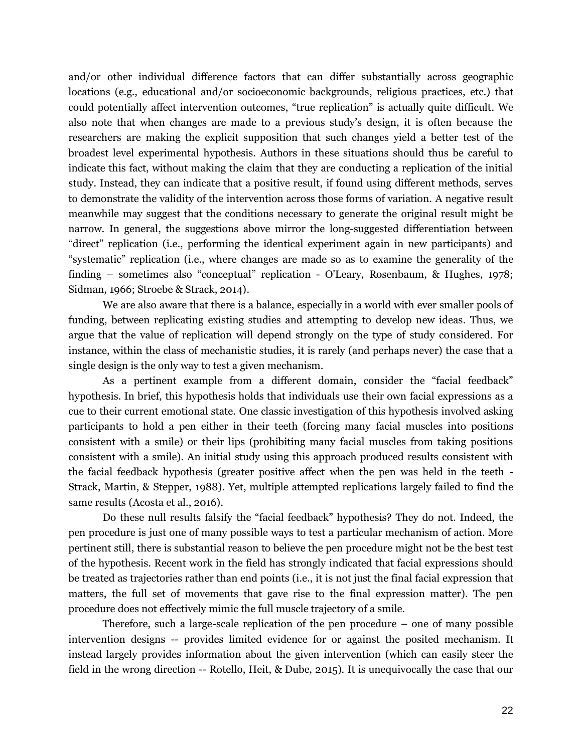and/or other individual difference factors that can differ substantially across geographic locations (e.g., educational and/or socioeconomic backgrounds, religious practices, etc.) that could potentially affect intervention outcomes, "true replication" is actually quite difficult. We also note that when changes are made to a previous study's design, it is often because the researchers are making the explicit supposition that such changes yield a better test of the broadest level experimental hypothesis. Authors in these situations should thus be careful to indicate this fact, without making the claim that they are conducting a replication of the initial study. Instead, they can indicate that a positive result, if found using different methods, serves to demonstrate the validity of the intervention across those forms of variation. A negative result meanwhile may suggest that the conditions necessary to generate the original result might be narrow. In general, the suggestions above mirror the long-suggested differentiation between "direct" replication (i.e., performing the identical experiment again in new participants) and "systematic" replication (i.e., where changes are made so as to examine the generality of the finding – sometimes also "conceptual" replication - O'Leary, Rosenbaum, & Hughes, 1978; Sidman, 1966; Stroebe & Strack, 2014).

We are also aware that there is a balance, especially in a world with ever smaller pools of funding, between replicating existing studies and attempting to develop new ideas. Thus, we argue that the value of replication will depend strongly on the type of study considered. For instance, within the class of mechanistic studies, it is rarely (and perhaps never) the case that a single design is the only way to test a given mechanism.

As a pertinent example from a different domain, consider the "facial feedback" hypothesis. In brief, this hypothesis holds that individuals use their own facial expressions as a cue to their current emotional state. One classic investigation of this hypothesis involved asking participants to hold a pen either in their teeth (forcing many facial muscles into positions consistent with a smile) or their lips (prohibiting many facial muscles from taking positions consistent with a smile). An initial study using this approach produced results consistent with the facial feedback hypothesis (greater positive affect when the pen was held in the teeth - Strack, Martin, & Stepper, 1988). Yet, multiple attempted replications largely failed to find the same results (Acosta et al., 2016).

Do these null results falsify the "facial feedback" hypothesis? They do not. Indeed, the pen procedure is just one of many possible ways to test a particular mechanism of action. More pertinent still, there is substantial reason to believe the pen procedure might not be the best test of the hypothesis. Recent work in the field has strongly indicated that facial expressions should be treated as trajectories rather than end points (i.e., it is not just the final facial expression that matters, the full set of movements that gave rise to the final expression matter). The pen procedure does not effectively mimic the full muscle trajectory of a smile.

Therefore, such a large-scale replication of the pen procedure – one of many possible intervention designs -- provides limited evidence for or against the posited mechanism. It instead largely provides information about the given intervention (which can easily steer the field in the wrong direction -- Rotello, Heit, & Dube, 2015). It is unequivocally the case that our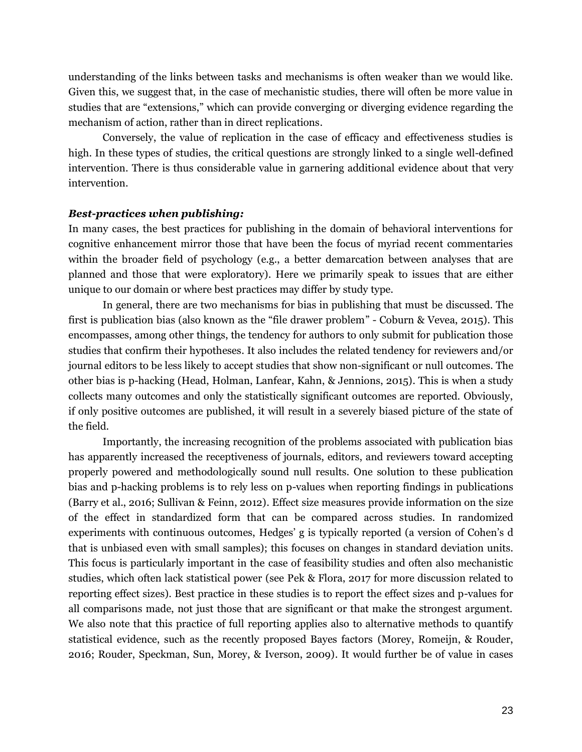understanding of the links between tasks and mechanisms is often weaker than we would like. Given this, we suggest that, in the case of mechanistic studies, there will often be more value in studies that are "extensions," which can provide converging or diverging evidence regarding the mechanism of action, rather than in direct replications.

Conversely, the value of replication in the case of efficacy and effectiveness studies is high. In these types of studies, the critical questions are strongly linked to a single well-defined intervention. There is thus considerable value in garnering additional evidence about that very intervention.

### *Best-practices when publishing:*

In many cases, the best practices for publishing in the domain of behavioral interventions for cognitive enhancement mirror those that have been the focus of myriad recent commentaries within the broader field of psychology (e.g., a better demarcation between analyses that are planned and those that were exploratory). Here we primarily speak to issues that are either unique to our domain or where best practices may differ by study type.

In general, there are two mechanisms for bias in publishing that must be discussed. The first is publication bias (also known as the "file drawer problem" - Coburn & Vevea, 2015). This encompasses, among other things, the tendency for authors to only submit for publication those studies that confirm their hypotheses. It also includes the related tendency for reviewers and/or journal editors to be less likely to accept studies that show non-significant or null outcomes. The other bias is p-hacking (Head, Holman, Lanfear, Kahn, & Jennions, 2015). This is when a study collects many outcomes and only the statistically significant outcomes are reported. Obviously, if only positive outcomes are published, it will result in a severely biased picture of the state of the field.

Importantly, the increasing recognition of the problems associated with publication bias has apparently increased the receptiveness of journals, editors, and reviewers toward accepting properly powered and methodologically sound null results. One solution to these publication bias and p-hacking problems is to rely less on p-values when reporting findings in publications (Barry et al., 2016; Sullivan & Feinn, 2012). Effect size measures provide information on the size of the effect in standardized form that can be compared across studies. In randomized experiments with continuous outcomes, Hedges' g is typically reported (a version of Cohen's d that is unbiased even with small samples); this focuses on changes in standard deviation units. This focus is particularly important in the case of feasibility studies and often also mechanistic studies, which often lack statistical power (see Pek & Flora, 2017 for more discussion related to reporting effect sizes). Best practice in these studies is to report the effect sizes and p-values for all comparisons made, not just those that are significant or that make the strongest argument. We also note that this practice of full reporting applies also to alternative methods to quantify statistical evidence, such as the recently proposed Bayes factors (Morey, Romeijn, & Rouder, 2016; Rouder, Speckman, Sun, Morey, & Iverson, 2009). It would further be of value in cases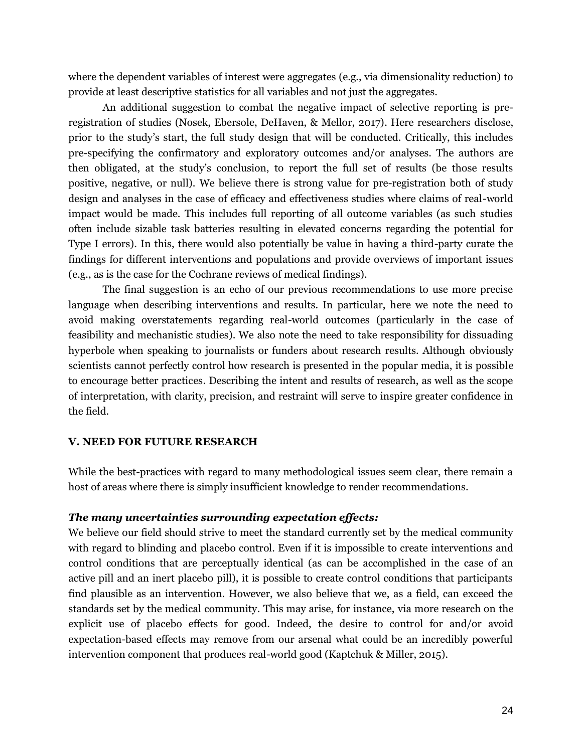where the dependent variables of interest were aggregates (e.g., via dimensionality reduction) to provide at least descriptive statistics for all variables and not just the aggregates.

An additional suggestion to combat the negative impact of selective reporting is preregistration of studies (Nosek, Ebersole, DeHaven, & Mellor, 2017). Here researchers disclose, prior to the study's start, the full study design that will be conducted. Critically, this includes pre-specifying the confirmatory and exploratory outcomes and/or analyses. The authors are then obligated, at the study's conclusion, to report the full set of results (be those results positive, negative, or null). We believe there is strong value for pre-registration both of study design and analyses in the case of efficacy and effectiveness studies where claims of real-world impact would be made. This includes full reporting of all outcome variables (as such studies often include sizable task batteries resulting in elevated concerns regarding the potential for Type I errors). In this, there would also potentially be value in having a third-party curate the findings for different interventions and populations and provide overviews of important issues (e.g., as is the case for the Cochrane reviews of medical findings).

The final suggestion is an echo of our previous recommendations to use more precise language when describing interventions and results. In particular, here we note the need to avoid making overstatements regarding real-world outcomes (particularly in the case of feasibility and mechanistic studies). We also note the need to take responsibility for dissuading hyperbole when speaking to journalists or funders about research results. Although obviously scientists cannot perfectly control how research is presented in the popular media, it is possible to encourage better practices. Describing the intent and results of research, as well as the scope of interpretation, with clarity, precision, and restraint will serve to inspire greater confidence in the field.

### **V. NEED FOR FUTURE RESEARCH**

While the best-practices with regard to many methodological issues seem clear, there remain a host of areas where there is simply insufficient knowledge to render recommendations.

## *The many uncertainties surrounding expectation effects:*

We believe our field should strive to meet the standard currently set by the medical community with regard to blinding and placebo control. Even if it is impossible to create interventions and control conditions that are perceptually identical (as can be accomplished in the case of an active pill and an inert placebo pill), it is possible to create control conditions that participants find plausible as an intervention. However, we also believe that we, as a field, can exceed the standards set by the medical community. This may arise, for instance, via more research on the explicit use of placebo effects for good. Indeed, the desire to control for and/or avoid expectation-based effects may remove from our arsenal what could be an incredibly powerful intervention component that produces real-world good (Kaptchuk & Miller, 2015).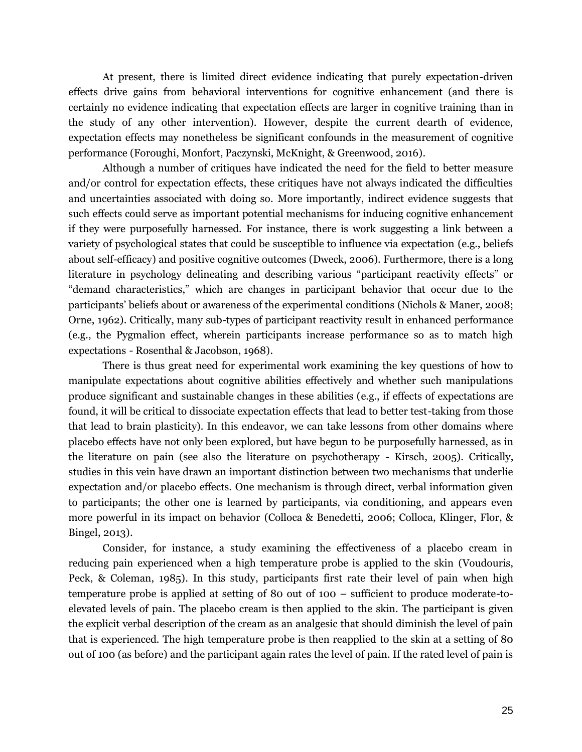At present, there is limited direct evidence indicating that purely expectation-driven effects drive gains from behavioral interventions for cognitive enhancement (and there is certainly no evidence indicating that expectation effects are larger in cognitive training than in the study of any other intervention). However, despite the current dearth of evidence, expectation effects may nonetheless be significant confounds in the measurement of cognitive performance (Foroughi, Monfort, Paczynski, McKnight, & Greenwood, 2016).

Although a number of critiques have indicated the need for the field to better measure and/or control for expectation effects, these critiques have not always indicated the difficulties and uncertainties associated with doing so. More importantly, indirect evidence suggests that such effects could serve as important potential mechanisms for inducing cognitive enhancement if they were purposefully harnessed. For instance, there is work suggesting a link between a variety of psychological states that could be susceptible to influence via expectation (e.g., beliefs about self-efficacy) and positive cognitive outcomes (Dweck, 2006). Furthermore, there is a long literature in psychology delineating and describing various "participant reactivity effects" or "demand characteristics," which are changes in participant behavior that occur due to the participants' beliefs about or awareness of the experimental conditions (Nichols & Maner, 2008; Orne, 1962). Critically, many sub-types of participant reactivity result in enhanced performance (e.g., the Pygmalion effect, wherein participants increase performance so as to match high expectations - Rosenthal & Jacobson, 1968).

There is thus great need for experimental work examining the key questions of how to manipulate expectations about cognitive abilities effectively and whether such manipulations produce significant and sustainable changes in these abilities (e.g., if effects of expectations are found, it will be critical to dissociate expectation effects that lead to better test-taking from those that lead to brain plasticity). In this endeavor, we can take lessons from other domains where placebo effects have not only been explored, but have begun to be purposefully harnessed, as in the literature on pain (see also the literature on psychotherapy - Kirsch, 2005). Critically, studies in this vein have drawn an important distinction between two mechanisms that underlie expectation and/or placebo effects. One mechanism is through direct, verbal information given to participants; the other one is learned by participants, via conditioning, and appears even more powerful in its impact on behavior (Colloca & Benedetti, 2006; Colloca, Klinger, Flor, & Bingel, 2013).

Consider, for instance, a study examining the effectiveness of a placebo cream in reducing pain experienced when a high temperature probe is applied to the skin (Voudouris, Peck, & Coleman, 1985). In this study, participants first rate their level of pain when high temperature probe is applied at setting of 80 out of 100 – sufficient to produce moderate-toelevated levels of pain. The placebo cream is then applied to the skin. The participant is given the explicit verbal description of the cream as an analgesic that should diminish the level of pain that is experienced. The high temperature probe is then reapplied to the skin at a setting of 80 out of 100 (as before) and the participant again rates the level of pain. If the rated level of pain is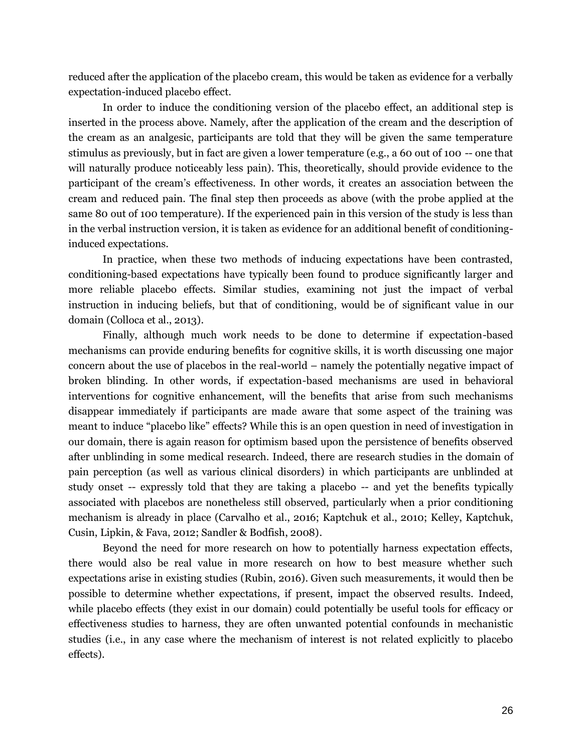reduced after the application of the placebo cream, this would be taken as evidence for a verbally expectation-induced placebo effect.

In order to induce the conditioning version of the placebo effect, an additional step is inserted in the process above. Namely, after the application of the cream and the description of the cream as an analgesic, participants are told that they will be given the same temperature stimulus as previously, but in fact are given a lower temperature (e.g., a 60 out of 100 -- one that will naturally produce noticeably less pain). This, theoretically, should provide evidence to the participant of the cream's effectiveness. In other words, it creates an association between the cream and reduced pain. The final step then proceeds as above (with the probe applied at the same 80 out of 100 temperature). If the experienced pain in this version of the study is less than in the verbal instruction version, it is taken as evidence for an additional benefit of conditioninginduced expectations.

In practice, when these two methods of inducing expectations have been contrasted, conditioning-based expectations have typically been found to produce significantly larger and more reliable placebo effects. Similar studies, examining not just the impact of verbal instruction in inducing beliefs, but that of conditioning, would be of significant value in our domain (Colloca et al., 2013).

 Finally, although much work needs to be done to determine if expectation-based mechanisms can provide enduring benefits for cognitive skills, it is worth discussing one major concern about the use of placebos in the real-world – namely the potentially negative impact of broken blinding. In other words, if expectation-based mechanisms are used in behavioral interventions for cognitive enhancement, will the benefits that arise from such mechanisms disappear immediately if participants are made aware that some aspect of the training was meant to induce "placebo like" effects? While this is an open question in need of investigation in our domain, there is again reason for optimism based upon the persistence of benefits observed after unblinding in some medical research. Indeed, there are research studies in the domain of pain perception (as well as various clinical disorders) in which participants are unblinded at study onset -- expressly told that they are taking a placebo -- and yet the benefits typically associated with placebos are nonetheless still observed, particularly when a prior conditioning mechanism is already in place (Carvalho et al., 2016; Kaptchuk et al., 2010; Kelley, Kaptchuk, Cusin, Lipkin, & Fava, 2012; Sandler & Bodfish, 2008).

Beyond the need for more research on how to potentially harness expectation effects, there would also be real value in more research on how to best measure whether such expectations arise in existing studies (Rubin, 2016). Given such measurements, it would then be possible to determine whether expectations, if present, impact the observed results. Indeed, while placebo effects (they exist in our domain) could potentially be useful tools for efficacy or effectiveness studies to harness, they are often unwanted potential confounds in mechanistic studies (i.e., in any case where the mechanism of interest is not related explicitly to placebo effects).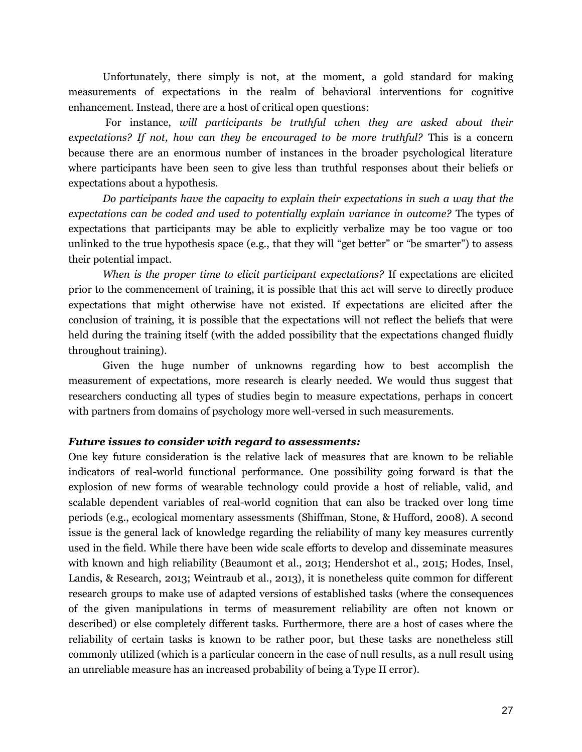Unfortunately, there simply is not, at the moment, a gold standard for making measurements of expectations in the realm of behavioral interventions for cognitive enhancement. Instead, there are a host of critical open questions:

For instance, *will participants be truthful when they are asked about their expectations? If not, how can they be encouraged to be more truthful?* This is a concern because there are an enormous number of instances in the broader psychological literature where participants have been seen to give less than truthful responses about their beliefs or expectations about a hypothesis.

*Do participants have the capacity to explain their expectations in such a way that the expectations can be coded and used to potentially explain variance in outcome?* The types of expectations that participants may be able to explicitly verbalize may be too vague or too unlinked to the true hypothesis space (e.g., that they will "get better" or "be smarter") to assess their potential impact.

*When is the proper time to elicit participant expectations?* If expectations are elicited prior to the commencement of training, it is possible that this act will serve to directly produce expectations that might otherwise have not existed. If expectations are elicited after the conclusion of training, it is possible that the expectations will not reflect the beliefs that were held during the training itself (with the added possibility that the expectations changed fluidly throughout training).

Given the huge number of unknowns regarding how to best accomplish the measurement of expectations, more research is clearly needed. We would thus suggest that researchers conducting all types of studies begin to measure expectations, perhaps in concert with partners from domains of psychology more well-versed in such measurements.

#### *Future issues to consider with regard to assessments:*

One key future consideration is the relative lack of measures that are known to be reliable indicators of real-world functional performance. One possibility going forward is that the explosion of new forms of wearable technology could provide a host of reliable, valid, and scalable dependent variables of real-world cognition that can also be tracked over long time periods (e.g., ecological momentary assessments (Shiffman, Stone, & Hufford, 2008). A second issue is the general lack of knowledge regarding the reliability of many key measures currently used in the field. While there have been wide scale efforts to develop and disseminate measures with known and high reliability (Beaumont et al., 2013; Hendershot et al., 2015; Hodes, Insel, Landis, & Research, 2013; Weintraub et al., 2013), it is nonetheless quite common for different research groups to make use of adapted versions of established tasks (where the consequences of the given manipulations in terms of measurement reliability are often not known or described) or else completely different tasks. Furthermore, there are a host of cases where the reliability of certain tasks is known to be rather poor, but these tasks are nonetheless still commonly utilized (which is a particular concern in the case of null results, as a null result using an unreliable measure has an increased probability of being a Type II error).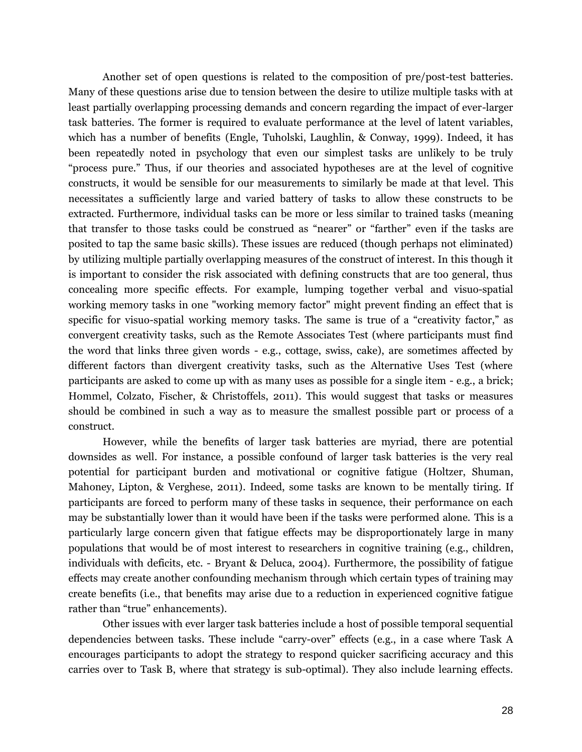Another set of open questions is related to the composition of pre/post-test batteries. Many of these questions arise due to tension between the desire to utilize multiple tasks with at least partially overlapping processing demands and concern regarding the impact of ever-larger task batteries. The former is required to evaluate performance at the level of latent variables, which has a number of benefits (Engle, Tuholski, Laughlin, & Conway, 1999). Indeed, it has been repeatedly noted in psychology that even our simplest tasks are unlikely to be truly "process pure." Thus, if our theories and associated hypotheses are at the level of cognitive constructs, it would be sensible for our measurements to similarly be made at that level. This necessitates a sufficiently large and varied battery of tasks to allow these constructs to be extracted. Furthermore, individual tasks can be more or less similar to trained tasks (meaning that transfer to those tasks could be construed as "nearer" or "farther" even if the tasks are posited to tap the same basic skills). These issues are reduced (though perhaps not eliminated) by utilizing multiple partially overlapping measures of the construct of interest. In this though it is important to consider the risk associated with defining constructs that are too general, thus concealing more specific effects. For example, lumping together verbal and visuo-spatial working memory tasks in one "working memory factor" might prevent finding an effect that is specific for visuo-spatial working memory tasks. The same is true of a "creativity factor," as convergent creativity tasks, such as the Remote Associates Test (where participants must find the word that links three given words - e.g., cottage, swiss, cake), are sometimes affected by different factors than divergent creativity tasks, such as the Alternative Uses Test (where participants are asked to come up with as many uses as possible for a single item - e.g., a brick; Hommel, Colzato, Fischer, & Christoffels, 2011). This would suggest that tasks or measures should be combined in such a way as to measure the smallest possible part or process of a construct.

However, while the benefits of larger task batteries are myriad, there are potential downsides as well. For instance, a possible confound of larger task batteries is the very real potential for participant burden and motivational or cognitive fatigue (Holtzer, Shuman, Mahoney, Lipton, & Verghese, 2011). Indeed, some tasks are known to be mentally tiring. If participants are forced to perform many of these tasks in sequence, their performance on each may be substantially lower than it would have been if the tasks were performed alone. This is a particularly large concern given that fatigue effects may be disproportionately large in many populations that would be of most interest to researchers in cognitive training (e.g., children, individuals with deficits, etc. - Bryant & Deluca, 2004). Furthermore, the possibility of fatigue effects may create another confounding mechanism through which certain types of training may create benefits (i.e., that benefits may arise due to a reduction in experienced cognitive fatigue rather than "true" enhancements).

Other issues with ever larger task batteries include a host of possible temporal sequential dependencies between tasks. These include "carry-over" effects (e.g., in a case where Task A encourages participants to adopt the strategy to respond quicker sacrificing accuracy and this carries over to Task B, where that strategy is sub-optimal). They also include learning effects.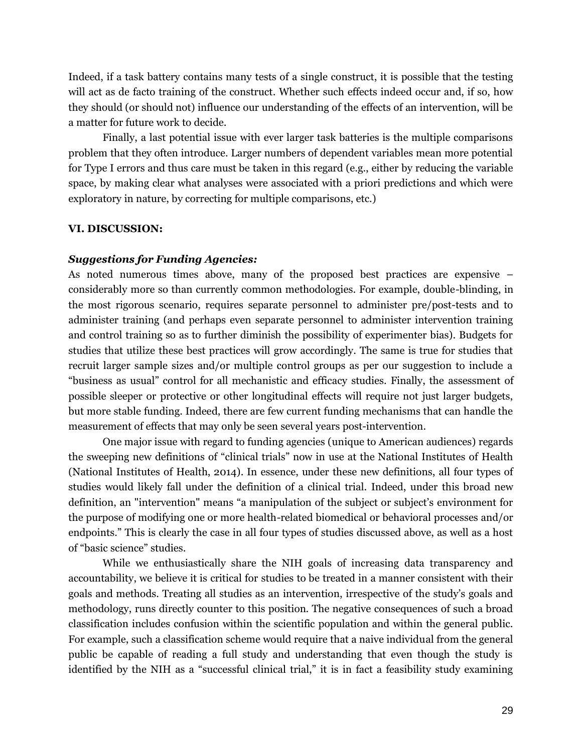Indeed, if a task battery contains many tests of a single construct, it is possible that the testing will act as de facto training of the construct. Whether such effects indeed occur and, if so, how they should (or should not) influence our understanding of the effects of an intervention, will be a matter for future work to decide.

Finally, a last potential issue with ever larger task batteries is the multiple comparisons problem that they often introduce. Larger numbers of dependent variables mean more potential for Type I errors and thus care must be taken in this regard (e.g., either by reducing the variable space, by making clear what analyses were associated with a priori predictions and which were exploratory in nature, by correcting for multiple comparisons, etc.)

#### **VI. DISCUSSION:**

#### *Suggestions for Funding Agencies:*

As noted numerous times above, many of the proposed best practices are expensive – considerably more so than currently common methodologies. For example, double-blinding, in the most rigorous scenario, requires separate personnel to administer pre/post-tests and to administer training (and perhaps even separate personnel to administer intervention training and control training so as to further diminish the possibility of experimenter bias). Budgets for studies that utilize these best practices will grow accordingly. The same is true for studies that recruit larger sample sizes and/or multiple control groups as per our suggestion to include a "business as usual" control for all mechanistic and efficacy studies. Finally, the assessment of possible sleeper or protective or other longitudinal effects will require not just larger budgets, but more stable funding. Indeed, there are few current funding mechanisms that can handle the measurement of effects that may only be seen several years post-intervention.

One major issue with regard to funding agencies (unique to American audiences) regards the sweeping new definitions of "clinical trials" now in use at the National Institutes of Health (National Institutes of Health, 2014). In essence, under these new definitions, all four types of studies would likely fall under the definition of a clinical trial. Indeed, under this broad new definition, an "intervention" means "a manipulation of the subject or subject's environment for the purpose of modifying one or more health-related biomedical or behavioral processes and/or endpoints." This is clearly the case in all four types of studies discussed above, as well as a host of "basic science" studies.

While we enthusiastically share the NIH goals of increasing data transparency and accountability, we believe it is critical for studies to be treated in a manner consistent with their goals and methods. Treating all studies as an intervention, irrespective of the study's goals and methodology, runs directly counter to this position. The negative consequences of such a broad classification includes confusion within the scientific population and within the general public. For example, such a classification scheme would require that a naive individual from the general public be capable of reading a full study and understanding that even though the study is identified by the NIH as a "successful clinical trial," it is in fact a feasibility study examining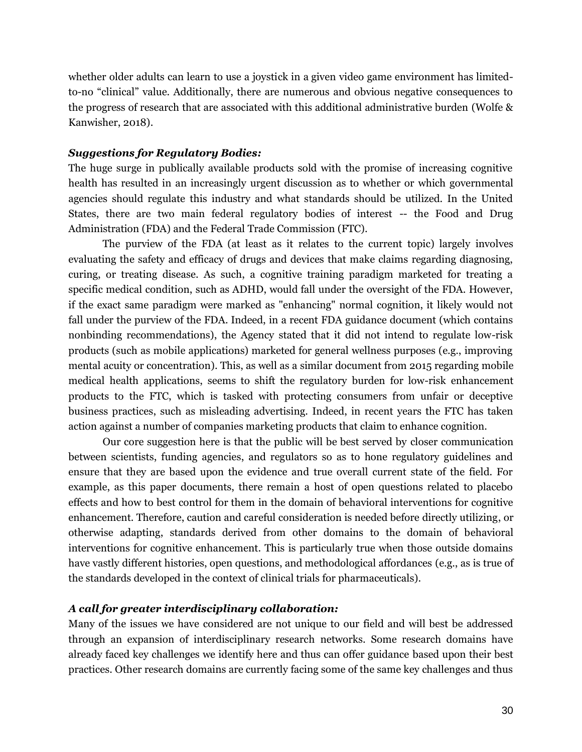whether older adults can learn to use a joystick in a given video game environment has limitedto-no "clinical" value. Additionally, there are numerous and obvious negative consequences to the progress of research that are associated with this additional administrative burden (Wolfe & Kanwisher, 2018).

### *Suggestions for Regulatory Bodies:*

The huge surge in publically available products sold with the promise of increasing cognitive health has resulted in an increasingly urgent discussion as to whether or which governmental agencies should regulate this industry and what standards should be utilized. In the United States, there are two main federal regulatory bodies of interest -- the Food and Drug Administration (FDA) and the Federal Trade Commission (FTC).

The purview of the FDA (at least as it relates to the current topic) largely involves evaluating the safety and efficacy of drugs and devices that make claims regarding diagnosing, curing, or treating disease. As such, a cognitive training paradigm marketed for treating a specific medical condition, such as ADHD, would fall under the oversight of the FDA. However, if the exact same paradigm were marked as "enhancing" normal cognition, it likely would not fall under the purview of the FDA. Indeed, in a recent FDA guidance document (which contains nonbinding recommendations), the Agency stated that it did not intend to regulate low-risk products (such as mobile applications) marketed for general wellness purposes (e.g., improving mental acuity or concentration). This, as well as a similar document from 2015 regarding mobile medical health applications, seems to shift the regulatory burden for low-risk enhancement products to the FTC, which is tasked with protecting consumers from unfair or deceptive business practices, such as misleading advertising. Indeed, in recent years the FTC has taken action against a number of companies marketing products that claim to enhance cognition.

Our core suggestion here is that the public will be best served by closer communication between scientists, funding agencies, and regulators so as to hone regulatory guidelines and ensure that they are based upon the evidence and true overall current state of the field. For example, as this paper documents, there remain a host of open questions related to placebo effects and how to best control for them in the domain of behavioral interventions for cognitive enhancement. Therefore, caution and careful consideration is needed before directly utilizing, or otherwise adapting, standards derived from other domains to the domain of behavioral interventions for cognitive enhancement. This is particularly true when those outside domains have vastly different histories, open questions, and methodological affordances (e.g., as is true of the standards developed in the context of clinical trials for pharmaceuticals).

#### *A call for greater interdisciplinary collaboration:*

Many of the issues we have considered are not unique to our field and will best be addressed through an expansion of interdisciplinary research networks. Some research domains have already faced key challenges we identify here and thus can offer guidance based upon their best practices. Other research domains are currently facing some of the same key challenges and thus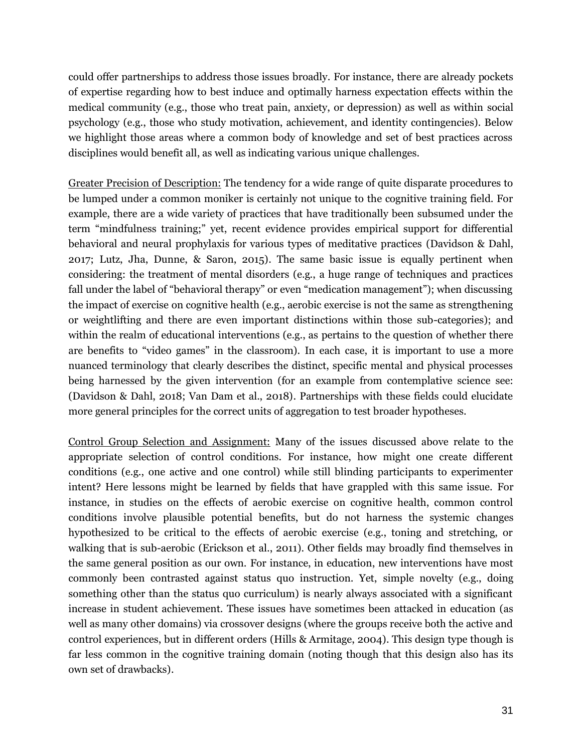could offer partnerships to address those issues broadly. For instance, there are already pockets of expertise regarding how to best induce and optimally harness expectation effects within the medical community (e.g., those who treat pain, anxiety, or depression) as well as within social psychology (e.g., those who study motivation, achievement, and identity contingencies). Below we highlight those areas where a common body of knowledge and set of best practices across disciplines would benefit all, as well as indicating various unique challenges.

Greater Precision of Description: The tendency for a wide range of quite disparate procedures to be lumped under a common moniker is certainly not unique to the cognitive training field. For example, there are a wide variety of practices that have traditionally been subsumed under the term "mindfulness training;" yet, recent evidence provides empirical support for differential behavioral and neural prophylaxis for various types of meditative practices (Davidson & Dahl, 2017; Lutz, Jha, Dunne, & Saron, 2015). The same basic issue is equally pertinent when considering: the treatment of mental disorders (e.g., a huge range of techniques and practices fall under the label of "behavioral therapy" or even "medication management"); when discussing the impact of exercise on cognitive health (e.g., aerobic exercise is not the same as strengthening or weightlifting and there are even important distinctions within those sub-categories); and within the realm of educational interventions (e.g., as pertains to the question of whether there are benefits to "video games" in the classroom). In each case, it is important to use a more nuanced terminology that clearly describes the distinct, specific mental and physical processes being harnessed by the given intervention (for an example from contemplative science see: (Davidson & Dahl, 2018; Van Dam et al., 2018). Partnerships with these fields could elucidate more general principles for the correct units of aggregation to test broader hypotheses.

Control Group Selection and Assignment: Many of the issues discussed above relate to the appropriate selection of control conditions. For instance, how might one create different conditions (e.g., one active and one control) while still blinding participants to experimenter intent? Here lessons might be learned by fields that have grappled with this same issue. For instance, in studies on the effects of aerobic exercise on cognitive health, common control conditions involve plausible potential benefits, but do not harness the systemic changes hypothesized to be critical to the effects of aerobic exercise (e.g., toning and stretching, or walking that is sub-aerobic (Erickson et al., 2011). Other fields may broadly find themselves in the same general position as our own. For instance, in education, new interventions have most commonly been contrasted against status quo instruction. Yet, simple novelty (e.g., doing something other than the status quo curriculum) is nearly always associated with a significant increase in student achievement. These issues have sometimes been attacked in education (as well as many other domains) via crossover designs (where the groups receive both the active and control experiences, but in different orders (Hills & Armitage, 2004). This design type though is far less common in the cognitive training domain (noting though that this design also has its own set of drawbacks).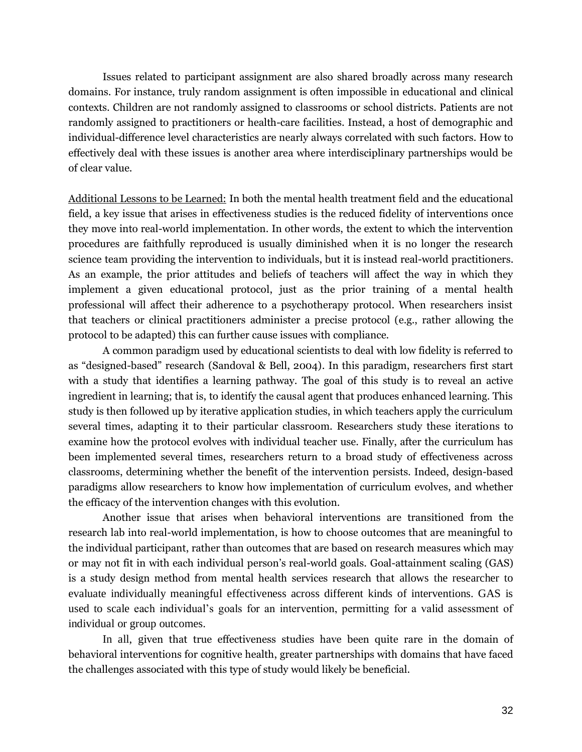Issues related to participant assignment are also shared broadly across many research domains. For instance, truly random assignment is often impossible in educational and clinical contexts. Children are not randomly assigned to classrooms or school districts. Patients are not randomly assigned to practitioners or health-care facilities. Instead, a host of demographic and individual-difference level characteristics are nearly always correlated with such factors. How to effectively deal with these issues is another area where interdisciplinary partnerships would be of clear value.

Additional Lessons to be Learned: In both the mental health treatment field and the educational field, a key issue that arises in effectiveness studies is the reduced fidelity of interventions once they move into real-world implementation. In other words, the extent to which the intervention procedures are faithfully reproduced is usually diminished when it is no longer the research science team providing the intervention to individuals, but it is instead real-world practitioners. As an example, the prior attitudes and beliefs of teachers will affect the way in which they implement a given educational protocol, just as the prior training of a mental health professional will affect their adherence to a psychotherapy protocol. When researchers insist that teachers or clinical practitioners administer a precise protocol (e.g., rather allowing the protocol to be adapted) this can further cause issues with compliance.

A common paradigm used by educational scientists to deal with low fidelity is referred to as "designed-based" research (Sandoval & Bell, 2004). In this paradigm, researchers first start with a study that identifies a learning pathway. The goal of this study is to reveal an active ingredient in learning; that is, to identify the causal agent that produces enhanced learning. This study is then followed up by iterative application studies, in which teachers apply the curriculum several times, adapting it to their particular classroom. Researchers study these iterations to examine how the protocol evolves with individual teacher use. Finally, after the curriculum has been implemented several times, researchers return to a broad study of effectiveness across classrooms, determining whether the benefit of the intervention persists. Indeed, design-based paradigms allow researchers to know how implementation of curriculum evolves, and whether the efficacy of the intervention changes with this evolution.

Another issue that arises when behavioral interventions are transitioned from the research lab into real-world implementation, is how to choose outcomes that are meaningful to the individual participant, rather than outcomes that are based on research measures which may or may not fit in with each individual person's real-world goals. Goal-attainment scaling (GAS) is a study design method from mental health services research that allows the researcher to evaluate individually meaningful effectiveness across different kinds of interventions. GAS is used to scale each individual's goals for an intervention, permitting for a valid assessment of individual or group outcomes.

In all, given that true effectiveness studies have been quite rare in the domain of behavioral interventions for cognitive health, greater partnerships with domains that have faced the challenges associated with this type of study would likely be beneficial.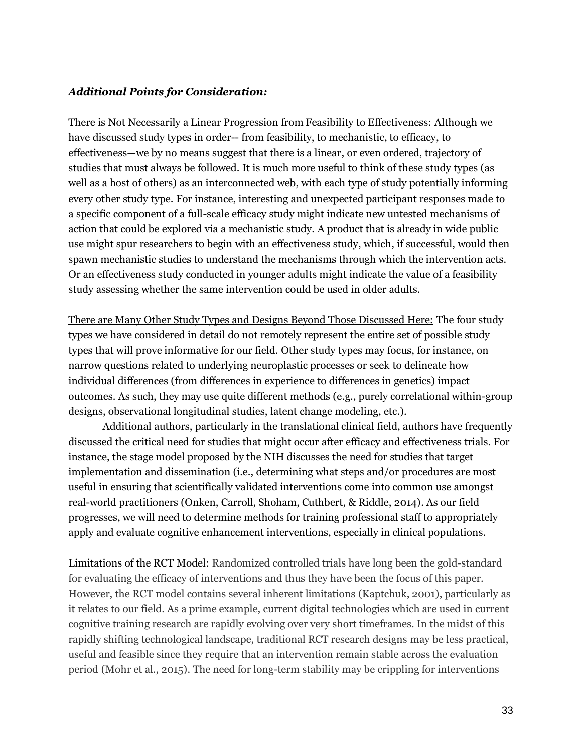## *Additional Points for Consideration:*

There is Not Necessarily a Linear Progression from Feasibility to Effectiveness: Although we have discussed study types in order-- from feasibility, to mechanistic, to efficacy, to effectiveness—we by no means suggest that there is a linear, or even ordered, trajectory of studies that must always be followed. It is much more useful to think of these study types (as well as a host of others) as an interconnected web, with each type of study potentially informing every other study type. For instance, interesting and unexpected participant responses made to a specific component of a full-scale efficacy study might indicate new untested mechanisms of action that could be explored via a mechanistic study. A product that is already in wide public use might spur researchers to begin with an effectiveness study, which, if successful, would then spawn mechanistic studies to understand the mechanisms through which the intervention acts. Or an effectiveness study conducted in younger adults might indicate the value of a feasibility study assessing whether the same intervention could be used in older adults.

There are Many Other Study Types and Designs Beyond Those Discussed Here: The four study types we have considered in detail do not remotely represent the entire set of possible study types that will prove informative for our field. Other study types may focus, for instance, on narrow questions related to underlying neuroplastic processes or seek to delineate how individual differences (from differences in experience to differences in genetics) impact outcomes. As such, they may use quite different methods (e.g., purely correlational within-group designs, observational longitudinal studies, latent change modeling, etc.).

Additional authors, particularly in the translational clinical field, authors have frequently discussed the critical need for studies that might occur after efficacy and effectiveness trials. For instance, the stage model proposed by the NIH discusses the need for studies that target implementation and dissemination (i.e., determining what steps and/or procedures are most useful in ensuring that scientifically validated interventions come into common use amongst real-world practitioners (Onken, Carroll, Shoham, Cuthbert, & Riddle, 2014). As our field progresses, we will need to determine methods for training professional staff to appropriately apply and evaluate cognitive enhancement interventions, especially in clinical populations.

Limitations of the RCT Model: Randomized controlled trials have long been the gold-standard for evaluating the efficacy of interventions and thus they have been the focus of this paper. However, the RCT model contains several inherent limitations (Kaptchuk, 2001), particularly as it relates to our field. As a prime example, current digital technologies which are used in current cognitive training research are rapidly evolving over very short timeframes. In the midst of this rapidly shifting technological landscape, traditional RCT research designs may be less practical, useful and feasible since they require that an intervention remain stable across the evaluation period (Mohr et al., 2015). The need for long-term stability may be crippling for interventions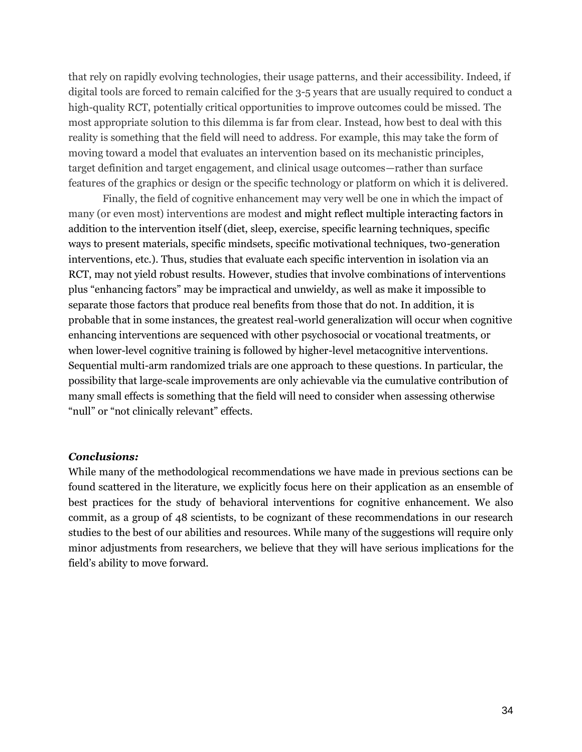that rely on rapidly evolving technologies, their usage patterns, and their accessibility. Indeed, if digital tools are forced to remain calcified for the 3-5 years that are usually required to conduct a high-quality RCT, potentially critical opportunities to improve outcomes could be missed. The most appropriate solution to this dilemma is far from clear. Instead, how best to deal with this reality is something that the field will need to address. For example, this may take the form of moving toward a model that evaluates an intervention based on its mechanistic principles, target definition and target engagement, and clinical usage outcomes—rather than surface features of the graphics or design or the specific technology or platform on which it is delivered.

Finally, the field of cognitive enhancement may very well be one in which the impact of many (or even most) interventions are modest and might reflect multiple interacting factors in addition to the intervention itself (diet, sleep, exercise, specific learning techniques, specific ways to present materials, specific mindsets, specific motivational techniques, two-generation interventions, etc.). Thus, studies that evaluate each specific intervention in isolation via an RCT, may not yield robust results. However, studies that involve combinations of interventions plus "enhancing factors" may be impractical and unwieldy, as well as make it impossible to separate those factors that produce real benefits from those that do not. In addition, it is probable that in some instances, the greatest real-world generalization will occur when cognitive enhancing interventions are sequenced with other psychosocial or vocational treatments, or when lower-level cognitive training is followed by higher-level metacognitive interventions. Sequential multi-arm randomized trials are one approach to these questions. In particular, the possibility that large-scale improvements are only achievable via the cumulative contribution of many small effects is something that the field will need to consider when assessing otherwise "null" or "not clinically relevant" effects.

### *Conclusions:*

While many of the methodological recommendations we have made in previous sections can be found scattered in the literature, we explicitly focus here on their application as an ensemble of best practices for the study of behavioral interventions for cognitive enhancement. We also commit, as a group of 48 scientists, to be cognizant of these recommendations in our research studies to the best of our abilities and resources. While many of the suggestions will require only minor adjustments from researchers, we believe that they will have serious implications for the field's ability to move forward.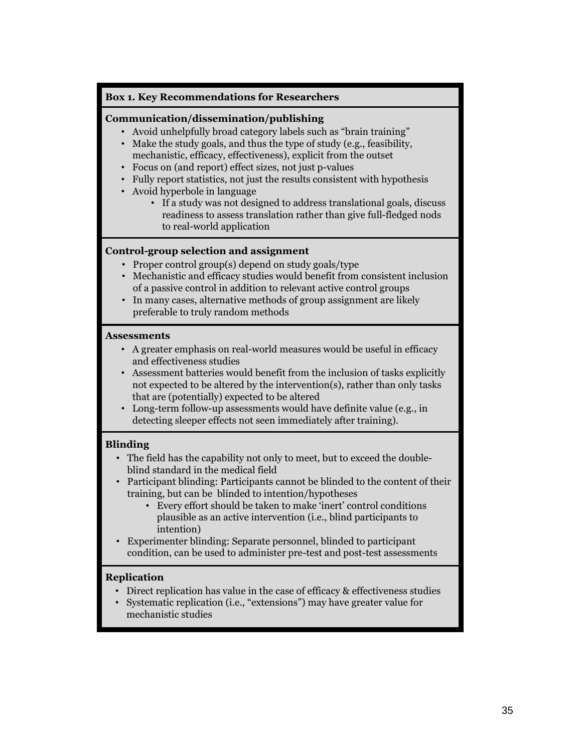## **Box 1. Key Recommendations for Researchers**

### **Communication/dissemination/publishing**

- Avoid unhelpfully broad category labels such as "brain training"
- Make the study goals, and thus the type of study (e.g., feasibility, mechanistic, efficacy, effectiveness), explicit from the outset
- Focus on (and report) effect sizes, not just p-values
- Fully report statistics, not just the results consistent with hypothesis
- Avoid hyperbole in language
	- If a study was not designed to address translational goals, discuss readiness to assess translation rather than give full-fledged nods to real-world application

## **Control-group selection and assignment**

- Proper control group(s) depend on study goals/type
- Mechanistic and efficacy studies would benefit from consistent inclusion of a passive control in addition to relevant active control groups
- In many cases, alternative methods of group assignment are likely preferable to truly random methods

## **Assessments**

- A greater emphasis on real-world measures would be useful in efficacy and effectiveness studies
- Assessment batteries would benefit from the inclusion of tasks explicitly not expected to be altered by the intervention(s), rather than only tasks that are (potentially) expected to be altered
- Long-term follow-up assessments would have definite value (e.g., in detecting sleeper effects not seen immediately after training).

## **Blinding**

- The field has the capability not only to meet, but to exceed the doubleblind standard in the medical field
- Participant blinding: Participants cannot be blinded to the content of their training, but can be blinded to intention/hypotheses
	- Every effort should be taken to make 'inert' control conditions plausible as an active intervention (i.e., blind participants to intention)
- Experimenter blinding: Separate personnel, blinded to participant condition, can be used to administer pre-test and post-test assessments

## **Replication**

- Direct replication has value in the case of efficacy & effectiveness studies
- Systematic replication (i.e., "extensions") may have greater value for mechanistic studies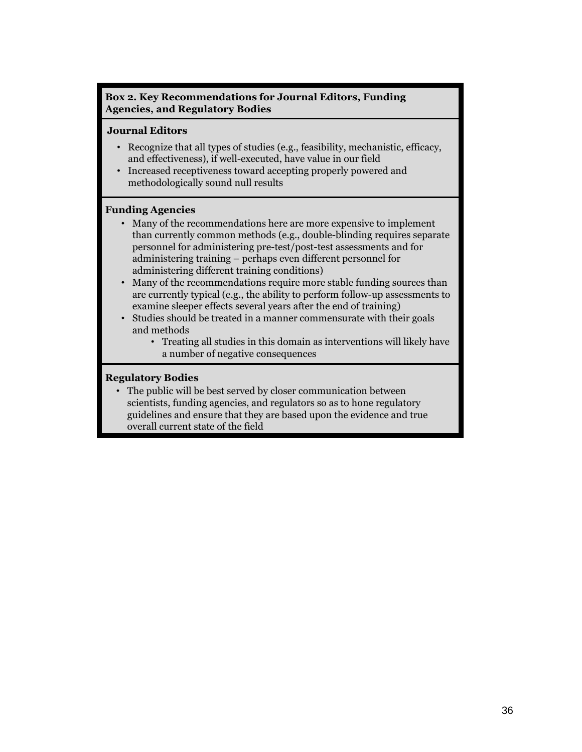## **Box 2. Key Recommendations for Journal Editors, Funding Agencies, and Regulatory Bodies**

## **Journal Editors**

- Recognize that all types of studies (e.g., feasibility, mechanistic, efficacy, and effectiveness), if well-executed, have value in our field
- Increased receptiveness toward accepting properly powered and methodologically sound null results

## **Funding Agencies**

- Many of the recommendations here are more expensive to implement than currently common methods (e.g., double-blinding requires separate personnel for administering pre-test/post-test assessments and for administering training – perhaps even different personnel for administering different training conditions)
- Many of the recommendations require more stable funding sources than are currently typical (e.g., the ability to perform follow-up assessments to examine sleeper effects several years after the end of training)
- Studies should be treated in a manner commensurate with their goals and methods
	- Treating all studies in this domain as interventions will likely have a number of negative consequences

## **Regulatory Bodies**

• The public will be best served by closer communication between scientists, funding agencies, and regulators so as to hone regulatory guidelines and ensure that they are based upon the evidence and true overall current state of the field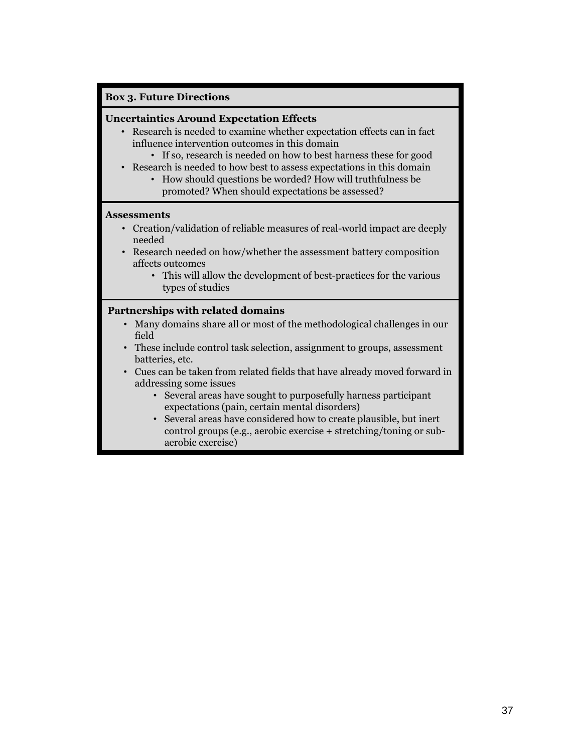## **Box 3. Future Directions**

### **Uncertainties Around Expectation Effects**

- Research is needed to examine whether expectation effects can in fact influence intervention outcomes in this domain
	- If so, research is needed on how to best harness these for good
- Research is needed to how best to assess expectations in this domain
	- How should questions be worded? How will truthfulness be promoted? When should expectations be assessed?

#### **Assessments**

- Creation/validation of reliable measures of real-world impact are deeply needed
- Research needed on how/whether the assessment battery composition affects outcomes
	- This will allow the development of best-practices for the various types of studies

### **Partnerships with related domains**

- Many domains share all or most of the methodological challenges in our field
- These include control task selection, assignment to groups, assessment batteries, etc.
- Cues can be taken from related fields that have already moved forward in addressing some issues
	- Several areas have sought to purposefully harness participant expectations (pain, certain mental disorders)
	- Several areas have considered how to create plausible, but inert control groups (e.g., aerobic exercise + stretching/toning or subaerobic exercise)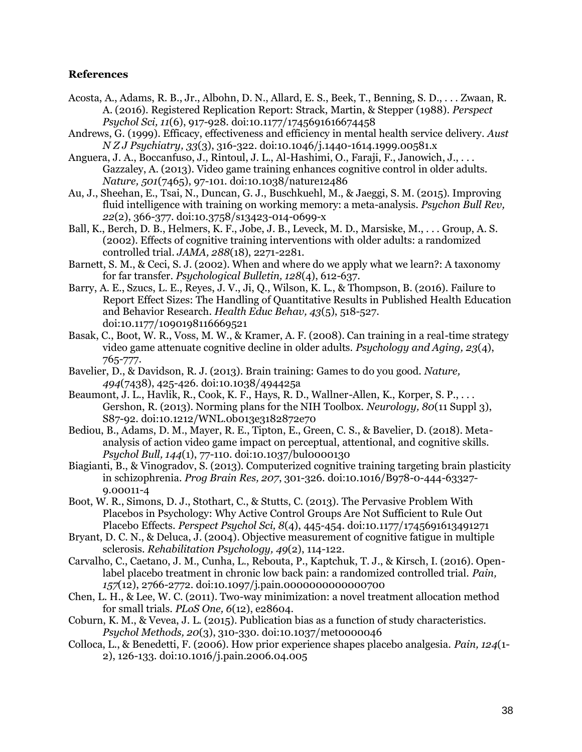### **References**

- Acosta, A., Adams, R. B., Jr., Albohn, D. N., Allard, E. S., Beek, T., Benning, S. D., . . . Zwaan, R. A. (2016). Registered Replication Report: Strack, Martin, & Stepper (1988). *Perspect Psychol Sci, 11*(6), 917-928. doi:10.1177/1745691616674458
- Andrews, G. (1999). Efficacy, effectiveness and efficiency in mental health service delivery. *Aust N Z J Psychiatry, 33*(3), 316-322. doi:10.1046/j.1440-1614.1999.00581.x
- Anguera, J. A., Boccanfuso, J., Rintoul, J. L., Al-Hashimi, O., Faraji, F., Janowich, J., . . . Gazzaley, A. (2013). Video game training enhances cognitive control in older adults. *Nature, 501*(7465), 97-101. doi:10.1038/nature12486
- Au, J., Sheehan, E., Tsai, N., Duncan, G. J., Buschkuehl, M., & Jaeggi, S. M. (2015). Improving fluid intelligence with training on working memory: a meta-analysis. *Psychon Bull Rev, 22*(2), 366-377. doi:10.3758/s13423-014-0699-x
- Ball, K., Berch, D. B., Helmers, K. F., Jobe, J. B., Leveck, M. D., Marsiske, M., . . . Group, A. S. (2002). Effects of cognitive training interventions with older adults: a randomized controlled trial. *JAMA, 288*(18), 2271-2281.
- Barnett, S. M., & Ceci, S. J. (2002). When and where do we apply what we learn?: A taxonomy for far transfer. *Psychological Bulletin, 128*(4), 612-637.
- Barry, A. E., Szucs, L. E., Reyes, J. V., Ji, Q., Wilson, K. L., & Thompson, B. (2016). Failure to Report Effect Sizes: The Handling of Quantitative Results in Published Health Education and Behavior Research. *Health Educ Behav, 43*(5), 518-527. doi:10.1177/1090198116669521
- Basak, C., Boot, W. R., Voss, M. W., & Kramer, A. F. (2008). Can training in a real-time strategy video game attenuate cognitive decline in older adults. *Psychology and Aging, 23*(4), 765-777.
- Bavelier, D., & Davidson, R. J. (2013). Brain training: Games to do you good. *Nature, 494*(7438), 425-426. doi:10.1038/494425a
- Beaumont, J. L., Havlik, R., Cook, K. F., Hays, R. D., Wallner-Allen, K., Korper, S. P., . . . Gershon, R. (2013). Norming plans for the NIH Toolbox. *Neurology, 80*(11 Suppl 3), S87-92. doi:10.1212/WNL.0b013e3182872e70
- Bediou, B., Adams, D. M., Mayer, R. E., Tipton, E., Green, C. S., & Bavelier, D. (2018). Metaanalysis of action video game impact on perceptual, attentional, and cognitive skills. *Psychol Bull, 144*(1), 77-110. doi:10.1037/bul0000130
- Biagianti, B., & Vinogradov, S. (2013). Computerized cognitive training targeting brain plasticity in schizophrenia. *Prog Brain Res, 207*, 301-326. doi:10.1016/B978-0-444-63327- 9.00011-4
- Boot, W. R., Simons, D. J., Stothart, C., & Stutts, C. (2013). The Pervasive Problem With Placebos in Psychology: Why Active Control Groups Are Not Sufficient to Rule Out Placebo Effects. *Perspect Psychol Sci, 8*(4), 445-454. doi:10.1177/1745691613491271
- Bryant, D. C. N., & Deluca, J. (2004). Objective measurement of cognitive fatigue in multiple sclerosis. *Rehabilitation Psychology, 49*(2), 114-122.
- Carvalho, C., Caetano, J. M., Cunha, L., Rebouta, P., Kaptchuk, T. J., & Kirsch, I. (2016). Openlabel placebo treatment in chronic low back pain: a randomized controlled trial. *Pain, 157*(12), 2766-2772. doi:10.1097/j.pain.0000000000000700
- Chen, L. H., & Lee, W. C. (2011). Two-way minimization: a novel treatment allocation method for small trials. *PLoS One, 6*(12), e28604.
- Coburn, K. M., & Vevea, J. L. (2015). Publication bias as a function of study characteristics. *Psychol Methods, 20*(3), 310-330. doi:10.1037/met0000046
- Colloca, L., & Benedetti, F. (2006). How prior experience shapes placebo analgesia. *Pain, 124*(1- 2), 126-133. doi:10.1016/j.pain.2006.04.005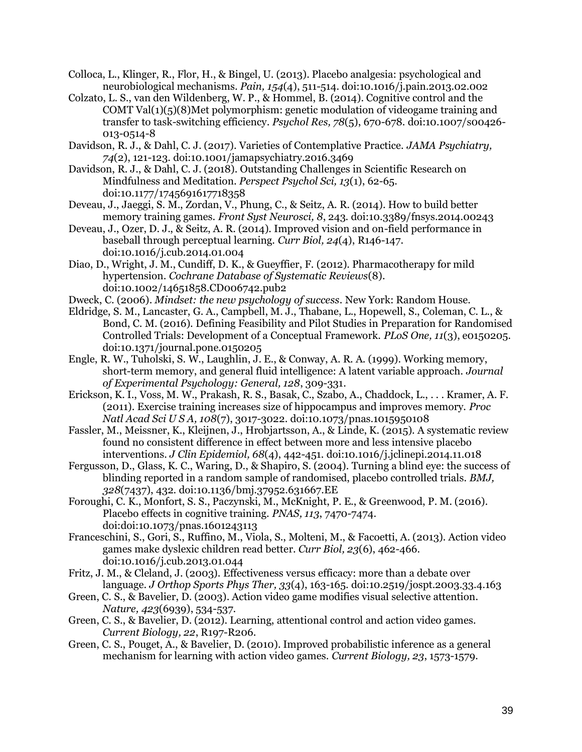- Colloca, L., Klinger, R., Flor, H., & Bingel, U. (2013). Placebo analgesia: psychological and neurobiological mechanisms. *Pain, 154*(4), 511-514. doi:10.1016/j.pain.2013.02.002
- Colzato, L. S., van den Wildenberg, W. P., & Hommel, B. (2014). Cognitive control and the COMT Val(1)(5)(8)Met polymorphism: genetic modulation of videogame training and transfer to task-switching efficiency. *Psychol Res, 78*(5), 670-678. doi:10.1007/s00426- 013-0514-8
- Davidson, R. J., & Dahl, C. J. (2017). Varieties of Contemplative Practice. *JAMA Psychiatry, 74*(2), 121-123. doi:10.1001/jamapsychiatry.2016.3469
- Davidson, R. J., & Dahl, C. J. (2018). Outstanding Challenges in Scientific Research on Mindfulness and Meditation. *Perspect Psychol Sci, 13*(1), 62-65. doi:10.1177/1745691617718358
- Deveau, J., Jaeggi, S. M., Zordan, V., Phung, C., & Seitz, A. R. (2014). How to build better memory training games. *Front Syst Neurosci, 8*, 243. doi:10.3389/fnsys.2014.00243
- Deveau, J., Ozer, D. J., & Seitz, A. R. (2014). Improved vision and on-field performance in baseball through perceptual learning. *Curr Biol, 24*(4), R146-147. doi:10.1016/j.cub.2014.01.004
- Diao, D., Wright, J. M., Cundiff, D. K., & Gueyffier, F. (2012). Pharmacotherapy for mild hypertension. *Cochrane Database of Systematic Reviews*(8). doi:10.1002/14651858.CD006742.pub2
- Dweck, C. (2006). *Mindset: the new psychology of success*. New York: Random House.
- Eldridge, S. M., Lancaster, G. A., Campbell, M. J., Thabane, L., Hopewell, S., Coleman, C. L., & Bond, C. M. (2016). Defining Feasibility and Pilot Studies in Preparation for Randomised Controlled Trials: Development of a Conceptual Framework. *PLoS One, 11*(3), e0150205. doi:10.1371/journal.pone.0150205
- Engle, R. W., Tuholski, S. W., Laughlin, J. E., & Conway, A. R. A. (1999). Working memory, short-term memory, and general fluid intelligence: A latent variable approach. *Journal of Experimental Psychology: General, 128*, 309-331.
- Erickson, K. I., Voss, M. W., Prakash, R. S., Basak, C., Szabo, A., Chaddock, L., . . . Kramer, A. F. (2011). Exercise training increases size of hippocampus and improves memory. *Proc Natl Acad Sci U S A, 108*(7), 3017-3022. doi:10.1073/pnas.1015950108
- Fassler, M., Meissner, K., Kleijnen, J., Hrobjartsson, A., & Linde, K. (2015). A systematic review found no consistent difference in effect between more and less intensive placebo interventions. *J Clin Epidemiol, 68*(4), 442-451. doi:10.1016/j.jclinepi.2014.11.018
- Fergusson, D., Glass, K. C., Waring, D., & Shapiro, S. (2004). Turning a blind eye: the success of blinding reported in a random sample of randomised, placebo controlled trials. *BMJ, 328*(7437), 432. doi:10.1136/bmj.37952.631667.EE
- Foroughi, C. K., Monfort, S. S., Paczynski, M., McKnight, P. E., & Greenwood, P. M. (2016). Placebo effects in cognitive training. *PNAS, 113*, 7470-7474. doi:doi:10.1073/pnas.1601243113
- Franceschini, S., Gori, S., Ruffino, M., Viola, S., Molteni, M., & Facoetti, A. (2013). Action video games make dyslexic children read better. *Curr Biol, 23*(6), 462-466. doi:10.1016/j.cub.2013.01.044
- Fritz, J. M., & Cleland, J. (2003). Effectiveness versus efficacy: more than a debate over language. *J Orthop Sports Phys Ther, 33*(4), 163-165. doi:10.2519/jospt.2003.33.4.163
- Green, C. S., & Bavelier, D. (2003). Action video game modifies visual selective attention. *Nature, 423*(6939), 534-537.
- Green, C. S., & Bavelier, D. (2012). Learning, attentional control and action video games. *Current Biology, 22*, R197-R206.
- Green, C. S., Pouget, A., & Bavelier, D. (2010). Improved probabilistic inference as a general mechanism for learning with action video games. *Current Biology, 23*, 1573-1579.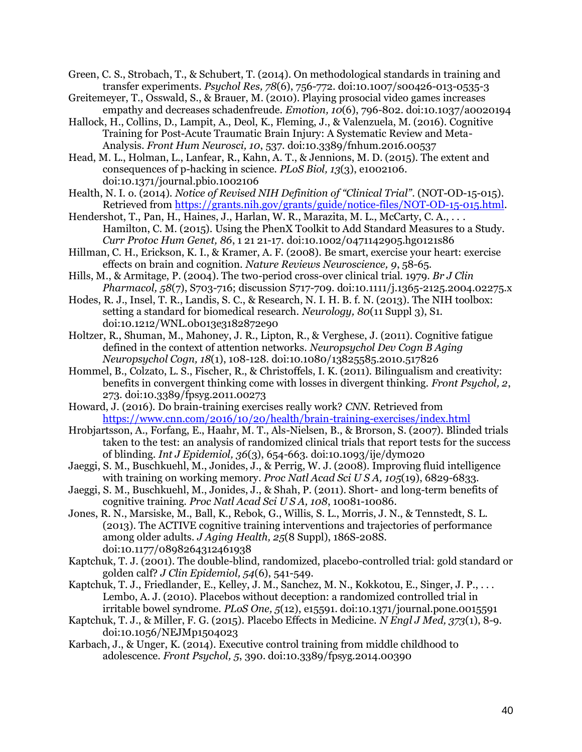Green, C. S., Strobach, T., & Schubert, T. (2014). On methodological standards in training and transfer experiments. *Psychol Res, 78*(6), 756-772. doi:10.1007/s00426-013-0535-3

- Greitemeyer, T., Osswald, S., & Brauer, M. (2010). Playing prosocial video games increases empathy and decreases schadenfreude. *Emotion, 10*(6), 796-802. doi:10.1037/a0020194
- Hallock, H., Collins, D., Lampit, A., Deol, K., Fleming, J., & Valenzuela, M. (2016). Cognitive Training for Post-Acute Traumatic Brain Injury: A Systematic Review and Meta-Analysis. *Front Hum Neurosci, 10*, 537. doi:10.3389/fnhum.2016.00537

Head, M. L., Holman, L., Lanfear, R., Kahn, A. T., & Jennions, M. D. (2015). The extent and consequences of p-hacking in science. *PLoS Biol, 13*(3), e1002106. doi:10.1371/journal.pbio.1002106

- Health, N. I. o. (2014). *Notice of Revised NIH Definition of "Clinical Trial"*. (NOT-OD-15-015). Retrieved from [https://grants.nih.gov/grants/guide/notice-files/NOT-OD-15-015.html.](https://grants.nih.gov/grants/guide/notice-files/NOT-OD-15-015.html)
- Hendershot, T., Pan, H., Haines, J., Harlan, W. R., Marazita, M. L., McCarty, C. A., . . . Hamilton, C. M. (2015). Using the PhenX Toolkit to Add Standard Measures to a Study. *Curr Protoc Hum Genet, 86*, 1 21 21-17. doi:10.1002/0471142905.hg0121s86
- Hillman, C. H., Erickson, K. I., & Kramer, A. F. (2008). Be smart, exercise your heart: exercise effects on brain and cognition. *Nature Reviews Neuroscience, 9*, 58-65.
- Hills, M., & Armitage, P. (2004). The two-period cross-over clinical trial. 1979. *Br J Clin Pharmacol, 58*(7), S703-716; discussion S717-709. doi:10.1111/j.1365-2125.2004.02275.x
- Hodes, R. J., Insel, T. R., Landis, S. C., & Research, N. I. H. B. f. N. (2013). The NIH toolbox: setting a standard for biomedical research. *Neurology, 80*(11 Suppl 3), S1. doi:10.1212/WNL.0b013e3182872e90
- Holtzer, R., Shuman, M., Mahoney, J. R., Lipton, R., & Verghese, J. (2011). Cognitive fatigue defined in the context of attention networks. *Neuropsychol Dev Cogn B Aging Neuropsychol Cogn, 18*(1), 108-128. doi:10.1080/13825585.2010.517826
- Hommel, B., Colzato, L. S., Fischer, R., & Christoffels, I. K. (2011). Bilingualism and creativity: benefits in convergent thinking come with losses in divergent thinking. *Front Psychol, 2*, 273. doi:10.3389/fpsyg.2011.00273
- Howard, J. (2016). Do brain-training exercises really work? *CNN*. Retrieved from <https://www.cnn.com/2016/10/20/health/brain-training-exercises/index.html>
- Hrobjartsson, A., Forfang, E., Haahr, M. T., Als-Nielsen, B., & Brorson, S. (2007). Blinded trials taken to the test: an analysis of randomized clinical trials that report tests for the success of blinding. *Int J Epidemiol, 36*(3), 654-663. doi:10.1093/ije/dym020
- Jaeggi, S. M., Buschkuehl, M., Jonides, J., & Perrig, W. J. (2008). Improving fluid intelligence with training on working memory. *Proc Natl Acad Sci U S A, 105*(19), 6829-6833.
- Jaeggi, S. M., Buschkuehl, M., Jonides, J., & Shah, P. (2011). Short- and long-term benefits of cognitive training. *Proc Natl Acad Sci U S A, 108*, 10081-10086.
- Jones, R. N., Marsiske, M., Ball, K., Rebok, G., Willis, S. L., Morris, J. N., & Tennstedt, S. L. (2013). The ACTIVE cognitive training interventions and trajectories of performance among older adults. *J Aging Health, 25*(8 Suppl), 186S-208S. doi:10.1177/0898264312461938
- Kaptchuk, T. J. (2001). The double-blind, randomized, placebo-controlled trial: gold standard or golden calf? *J Clin Epidemiol, 54*(6), 541-549.
- Kaptchuk, T. J., Friedlander, E., Kelley, J. M., Sanchez, M. N., Kokkotou, E., Singer, J. P., . . . Lembo, A. J. (2010). Placebos without deception: a randomized controlled trial in irritable bowel syndrome. *PLoS One, 5*(12), e15591. doi:10.1371/journal.pone.0015591
- Kaptchuk, T. J., & Miller, F. G. (2015). Placebo Effects in Medicine. *N Engl J Med, 373*(1), 8-9. doi:10.1056/NEJMp1504023
- Karbach, J., & Unger, K. (2014). Executive control training from middle childhood to adolescence. *Front Psychol, 5*, 390. doi:10.3389/fpsyg.2014.00390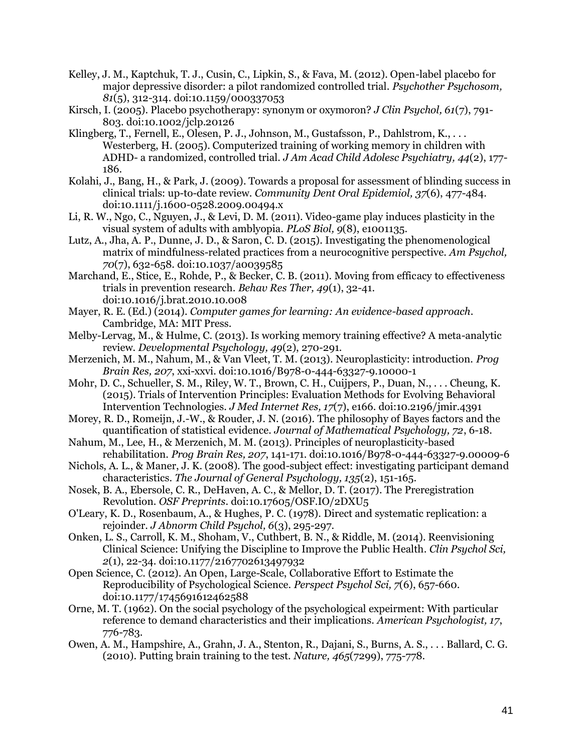- Kelley, J. M., Kaptchuk, T. J., Cusin, C., Lipkin, S., & Fava, M. (2012). Open-label placebo for major depressive disorder: a pilot randomized controlled trial. *Psychother Psychosom, 81*(5), 312-314. doi:10.1159/000337053
- Kirsch, I. (2005). Placebo psychotherapy: synonym or oxymoron? *J Clin Psychol, 61*(7), 791- 803. doi:10.1002/jclp.20126
- Klingberg, T., Fernell, E., Olesen, P. J., Johnson, M., Gustafsson, P., Dahlstrom, K., . . . Westerberg, H. (2005). Computerized training of working memory in children with ADHD- a randomized, controlled trial. *J Am Acad Child Adolesc Psychiatry, 44*(2), 177- 186.
- Kolahi, J., Bang, H., & Park, J. (2009). Towards a proposal for assessment of blinding success in clinical trials: up-to-date review. *Community Dent Oral Epidemiol, 37*(6), 477-484. doi:10.1111/j.1600-0528.2009.00494.x
- Li, R. W., Ngo, C., Nguyen, J., & Levi, D. M. (2011). Video-game play induces plasticity in the visual system of adults with amblyopia. *PLoS Biol, 9*(8), e1001135.
- Lutz, A., Jha, A. P., Dunne, J. D., & Saron, C. D. (2015). Investigating the phenomenological matrix of mindfulness-related practices from a neurocognitive perspective. *Am Psychol, 70*(7), 632-658. doi:10.1037/a0039585
- Marchand, E., Stice, E., Rohde, P., & Becker, C. B. (2011). Moving from efficacy to effectiveness trials in prevention research. *Behav Res Ther, 49*(1), 32-41. doi:10.1016/j.brat.2010.10.008
- Mayer, R. E. (Ed.) (2014). *Computer games for learning: An evidence-based approach*. Cambridge, MA: MIT Press.
- Melby-Lervag, M., & Hulme, C. (2013). Is working memory training effective? A meta-analytic review. *Developmental Psychology, 49*(2), 270-291.
- Merzenich, M. M., Nahum, M., & Van Vleet, T. M. (2013). Neuroplasticity: introduction. *Prog Brain Res, 207*, xxi-xxvi. doi:10.1016/B978-0-444-63327-9.10000-1
- Mohr, D. C., Schueller, S. M., Riley, W. T., Brown, C. H., Cuijpers, P., Duan, N., . . . Cheung, K. (2015). Trials of Intervention Principles: Evaluation Methods for Evolving Behavioral Intervention Technologies. *J Med Internet Res, 17*(7), e166. doi:10.2196/jmir.4391

Morey, R. D., Romeijn, J.-W., & Rouder, J. N. (2016). The philosophy of Bayes factors and the quantification of statistical evidence. *Journal of Mathematical Psychology, 72*, 6-18.

- Nahum, M., Lee, H., & Merzenich, M. M. (2013). Principles of neuroplasticity-based rehabilitation. *Prog Brain Res, 207*, 141-171. doi:10.1016/B978-0-444-63327-9.00009-6
- Nichols, A. L., & Maner, J. K. (2008). The good-subject effect: investigating participant demand characteristics. *The Journal of General Psychology, 135*(2), 151-165.
- Nosek, B. A., Ebersole, C. R., DeHaven, A. C., & Mellor, D. T. (2017). The Preregistration Revolution. *OSF Preprints*. doi:10.17605/OSF.IO/2DXU5
- O'Leary, K. D., Rosenbaum, A., & Hughes, P. C. (1978). Direct and systematic replication: a rejoinder. *J Abnorm Child Psychol, 6*(3), 295-297.
- Onken, L. S., Carroll, K. M., Shoham, V., Cuthbert, B. N., & Riddle, M. (2014). Reenvisioning Clinical Science: Unifying the Discipline to Improve the Public Health. *Clin Psychol Sci, 2*(1), 22-34. doi:10.1177/2167702613497932
- Open Science, C. (2012). An Open, Large-Scale, Collaborative Effort to Estimate the Reproducibility of Psychological Science. *Perspect Psychol Sci, 7*(6), 657-660. doi:10.1177/1745691612462588
- Orne, M. T. (1962). On the social psychology of the psychological expeirment: With particular reference to demand characteristics and their implications. *American Psychologist, 17*, 776-783.
- Owen, A. M., Hampshire, A., Grahn, J. A., Stenton, R., Dajani, S., Burns, A. S., . . . Ballard, C. G. (2010). Putting brain training to the test. *Nature, 465*(7299), 775-778.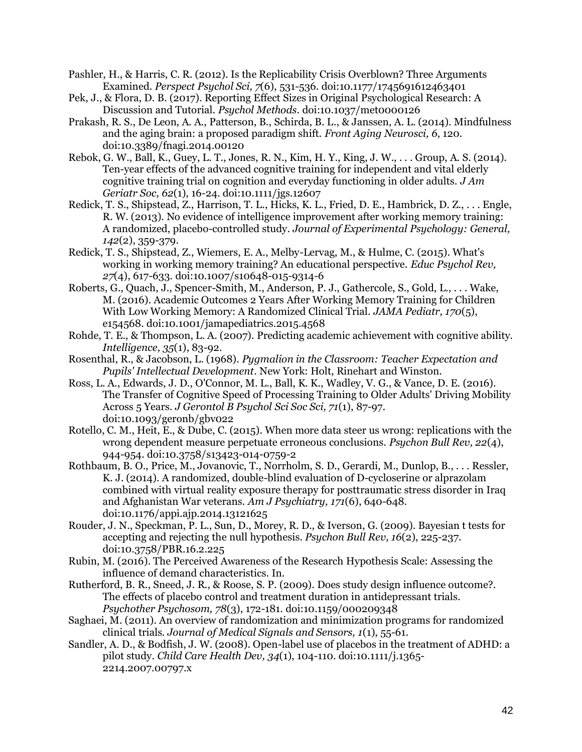- Pashler, H., & Harris, C. R. (2012). Is the Replicability Crisis Overblown? Three Arguments Examined. *Perspect Psychol Sci, 7*(6), 531-536. doi:10.1177/1745691612463401
- Pek, J., & Flora, D. B. (2017). Reporting Effect Sizes in Original Psychological Research: A Discussion and Tutorial. *Psychol Methods*. doi:10.1037/met0000126
- Prakash, R. S., De Leon, A. A., Patterson, B., Schirda, B. L., & Janssen, A. L. (2014). Mindfulness and the aging brain: a proposed paradigm shift. *Front Aging Neurosci, 6*, 120. doi:10.3389/fnagi.2014.00120
- Rebok, G. W., Ball, K., Guey, L. T., Jones, R. N., Kim, H. Y., King, J. W., . . . Group, A. S. (2014). Ten-year effects of the advanced cognitive training for independent and vital elderly cognitive training trial on cognition and everyday functioning in older adults. *J Am Geriatr Soc, 62*(1), 16-24. doi:10.1111/jgs.12607
- Redick, T. S., Shipstead, Z., Harrison, T. L., Hicks, K. L., Fried, D. E., Hambrick, D. Z., . . . Engle, R. W. (2013). No evidence of intelligence improvement after working memory training: A randomized, placebo-controlled study. *Journal of Experimental Psychology: General, 142*(2), 359-379.
- Redick, T. S., Shipstead, Z., Wiemers, E. A., Melby-Lervag, M., & Hulme, C. (2015). What's working in working memory training? An educational perspective. *Educ Psychol Rev, 27*(4), 617-633. doi:10.1007/s10648-015-9314-6
- Roberts, G., Quach, J., Spencer-Smith, M., Anderson, P. J., Gathercole, S., Gold, L., . . . Wake, M. (2016). Academic Outcomes 2 Years After Working Memory Training for Children With Low Working Memory: A Randomized Clinical Trial. *JAMA Pediatr, 170*(5), e154568. doi:10.1001/jamapediatrics.2015.4568
- Rohde, T. E., & Thompson, L. A. (2007). Predicting academic achievement with cognitive ability. *Intelligence, 35*(1), 83-92.
- Rosenthal, R., & Jacobson, L. (1968). *Pygmalion in the Classroom: Teacher Expectation and Pupils' Intellectual Development*. New York: Holt, Rinehart and Winston.
- Ross, L. A., Edwards, J. D., O'Connor, M. L., Ball, K. K., Wadley, V. G., & Vance, D. E. (2016). The Transfer of Cognitive Speed of Processing Training to Older Adults' Driving Mobility Across 5 Years. *J Gerontol B Psychol Sci Soc Sci, 71*(1), 87-97. doi:10.1093/geronb/gbv022
- Rotello, C. M., Heit, E., & Dube, C. (2015). When more data steer us wrong: replications with the wrong dependent measure perpetuate erroneous conclusions. *Psychon Bull Rev, 22*(4), 944-954. doi:10.3758/s13423-014-0759-2
- Rothbaum, B. O., Price, M., Jovanovic, T., Norrholm, S. D., Gerardi, M., Dunlop, B., . . . Ressler, K. J. (2014). A randomized, double-blind evaluation of D-cycloserine or alprazolam combined with virtual reality exposure therapy for posttraumatic stress disorder in Iraq and Afghanistan War veterans. *Am J Psychiatry, 171*(6), 640-648. doi:10.1176/appi.ajp.2014.13121625
- Rouder, J. N., Speckman, P. L., Sun, D., Morey, R. D., & Iverson, G. (2009). Bayesian t tests for accepting and rejecting the null hypothesis. *Psychon Bull Rev, 16*(2), 225-237. doi:10.3758/PBR.16.2.225
- Rubin, M. (2016). The Perceived Awareness of the Research Hypothesis Scale: Assessing the influence of demand characteristics. In.
- Rutherford, B. R., Sneed, J. R., & Roose, S. P. (2009). Does study design influence outcome?. The effects of placebo control and treatment duration in antidepressant trials. *Psychother Psychosom, 78*(3), 172-181. doi:10.1159/000209348
- Saghaei, M. (2011). An overview of randomization and minimization programs for randomized clinical trials. *Journal of Medical Signals and Sensors, 1*(1), 55-61.
- Sandler, A. D., & Bodfish, J. W. (2008). Open-label use of placebos in the treatment of ADHD: a pilot study. *Child Care Health Dev, 34*(1), 104-110. doi:10.1111/j.1365- 2214.2007.00797.x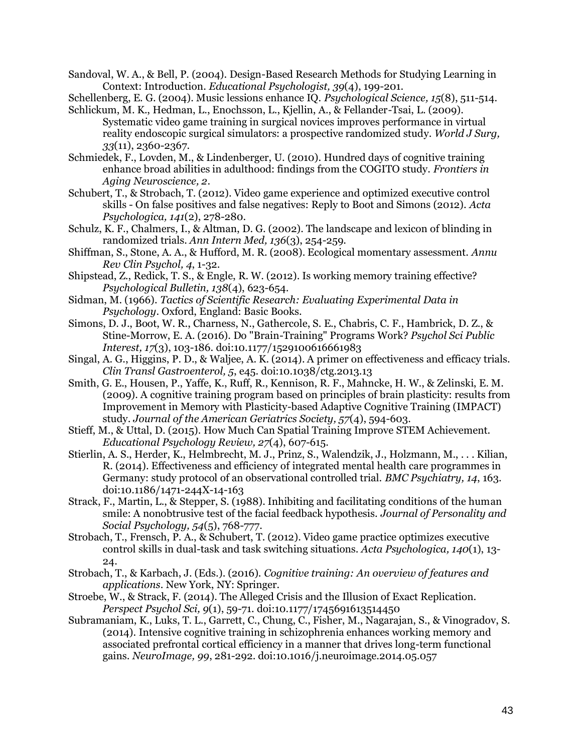Sandoval, W. A., & Bell, P. (2004). Design-Based Research Methods for Studying Learning in Context: Introduction. *Educational Psychologist, 39*(4), 199-201.

Schellenberg, E. G. (2004). Music lessions enhance IQ. *Psychological Science, 15*(8), 511-514.

- Schlickum, M. K., Hedman, L., Enochsson, L., Kjellin, A., & Fellander-Tsai, L. (2009). Systematic video game training in surgical novices improves performance in virtual reality endoscopic surgical simulators: a prospective randomized study. *World J Surg, 33*(11), 2360-2367.
- Schmiedek, F., Lovden, M., & Lindenberger, U. (2010). Hundred days of cognitive training enhance broad abilities in adulthood: findings from the COGITO study. *Frontiers in Aging Neuroscience, 2*.
- Schubert, T., & Strobach, T. (2012). Video game experience and optimized executive control skills - On false positives and false negatives: Reply to Boot and Simons (2012). *Acta Psychologica, 141*(2), 278-280.
- Schulz, K. F., Chalmers, I., & Altman, D. G. (2002). The landscape and lexicon of blinding in randomized trials. *Ann Intern Med, 136*(3), 254-259.
- Shiffman, S., Stone, A. A., & Hufford, M. R. (2008). Ecological momentary assessment. *Annu Rev Clin Psychol, 4*, 1-32.
- Shipstead, Z., Redick, T. S., & Engle, R. W. (2012). Is working memory training effective? *Psychological Bulletin, 138*(4), 623-654.
- Sidman, M. (1966). *Tactics of Scientific Research: Evaluating Experimental Data in Psychology*. Oxford, England: Basic Books.
- Simons, D. J., Boot, W. R., Charness, N., Gathercole, S. E., Chabris, C. F., Hambrick, D. Z., & Stine-Morrow, E. A. (2016). Do "Brain-Training" Programs Work? *Psychol Sci Public Interest, 17*(3), 103-186. doi:10.1177/1529100616661983
- Singal, A. G., Higgins, P. D., & Waljee, A. K. (2014). A primer on effectiveness and efficacy trials. *Clin Transl Gastroenterol, 5*, e45. doi:10.1038/ctg.2013.13
- Smith, G. E., Housen, P., Yaffe, K., Ruff, R., Kennison, R. F., Mahncke, H. W., & Zelinski, E. M. (2009). A cognitive training program based on principles of brain plasticity: results from Improvement in Memory with Plasticity-based Adaptive Cognitive Training (IMPACT) study. *Journal of the American Geriatrics Society, 57*(4), 594-603.
- Stieff, M., & Uttal, D. (2015). How Much Can Spatial Training Improve STEM Achievement. *Educational Psychology Review, 27*(4), 607-615.
- Stierlin, A. S., Herder, K., Helmbrecht, M. J., Prinz, S., Walendzik, J., Holzmann, M., . . . Kilian, R. (2014). Effectiveness and efficiency of integrated mental health care programmes in Germany: study protocol of an observational controlled trial. *BMC Psychiatry, 14*, 163. doi:10.1186/1471-244X-14-163
- Strack, F., Martin, L., & Stepper, S. (1988). Inhibiting and facilitating conditions of the human smile: A nonobtrusive test of the facial feedback hypothesis. *Journal of Personality and Social Psychology, 54*(5), 768-777.
- Strobach, T., Frensch, P. A., & Schubert, T. (2012). Video game practice optimizes executive control skills in dual-task and task switching situations. *Acta Psychologica, 140*(1), 13- 24.
- Strobach, T., & Karbach, J. (Eds.). (2016). *Cognitive training: An overview of features and applications*. New York, NY: Springer.
- Stroebe, W., & Strack, F. (2014). The Alleged Crisis and the Illusion of Exact Replication. *Perspect Psychol Sci, 9*(1), 59-71. doi:10.1177/1745691613514450
- Subramaniam, K., Luks, T. L., Garrett, C., Chung, C., Fisher, M., Nagarajan, S., & Vinogradov, S. (2014). Intensive cognitive training in schizophrenia enhances working memory and associated prefrontal cortical efficiency in a manner that drives long-term functional gains. *NeuroImage, 99*, 281-292. doi:10.1016/j.neuroimage.2014.05.057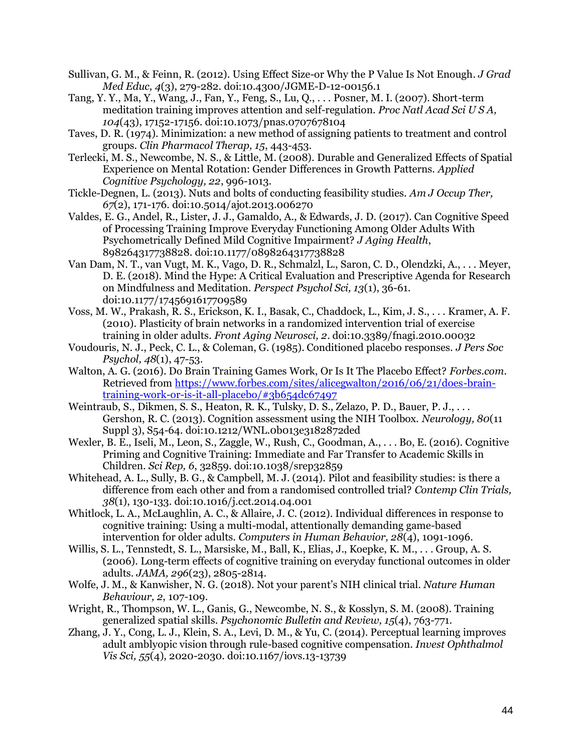- Sullivan, G. M., & Feinn, R. (2012). Using Effect Size-or Why the P Value Is Not Enough. *J Grad Med Educ, 4*(3), 279-282. doi:10.4300/JGME-D-12-00156.1
- Tang, Y. Y., Ma, Y., Wang, J., Fan, Y., Feng, S., Lu, Q., . . . Posner, M. I. (2007). Short-term meditation training improves attention and self-regulation. *Proc Natl Acad Sci U S A, 104*(43), 17152-17156. doi:10.1073/pnas.0707678104
- Taves, D. R. (1974). Minimization: a new method of assigning patients to treatment and control groups. *Clin Pharmacol Therap, 15*, 443-453.
- Terlecki, M. S., Newcombe, N. S., & Little, M. (2008). Durable and Generalized Effects of Spatial Experience on Mental Rotation: Gender Differences in Growth Patterns. *Applied Cognitive Psychology, 22*, 996-1013.
- Tickle-Degnen, L. (2013). Nuts and bolts of conducting feasibility studies. *Am J Occup Ther, 67*(2), 171-176. doi:10.5014/ajot.2013.006270
- Valdes, E. G., Andel, R., Lister, J. J., Gamaldo, A., & Edwards, J. D. (2017). Can Cognitive Speed of Processing Training Improve Everyday Functioning Among Older Adults With Psychometrically Defined Mild Cognitive Impairment? *J Aging Health*, 898264317738828. doi:10.1177/0898264317738828
- Van Dam, N. T., van Vugt, M. K., Vago, D. R., Schmalzl, L., Saron, C. D., Olendzki, A., . . . Meyer, D. E. (2018). Mind the Hype: A Critical Evaluation and Prescriptive Agenda for Research on Mindfulness and Meditation. *Perspect Psychol Sci, 13*(1), 36-61. doi:10.1177/1745691617709589
- Voss, M. W., Prakash, R. S., Erickson, K. I., Basak, C., Chaddock, L., Kim, J. S., . . . Kramer, A. F. (2010). Plasticity of brain networks in a randomized intervention trial of exercise training in older adults. *Front Aging Neurosci, 2*. doi:10.3389/fnagi.2010.00032
- Voudouris, N. J., Peck, C. L., & Coleman, G. (1985). Conditioned placebo responses. *J Pers Soc Psychol, 48*(1), 47-53.
- Walton, A. G. (2016). Do Brain Training Games Work, Or Is It The Placebo Effect? *Forbes.com*. Retrieved from [https://www.forbes.com/sites/alicegwalton/2016/06/21/does-brain](https://www.forbes.com/sites/alicegwalton/2016/06/21/does-brain-training-work-or-is-it-all-placebo/#3b654dc67497)[training-work-or-is-it-all-placebo/#3b654dc67497](https://www.forbes.com/sites/alicegwalton/2016/06/21/does-brain-training-work-or-is-it-all-placebo/#3b654dc67497)
- Weintraub, S., Dikmen, S. S., Heaton, R. K., Tulsky, D. S., Zelazo, P. D., Bauer, P. J., . . . Gershon, R. C. (2013). Cognition assessment using the NIH Toolbox. *Neurology, 80*(11 Suppl 3), S54-64. doi:10.1212/WNL.0b013e3182872ded
- Wexler, B. E., Iseli, M., Leon, S., Zaggle, W., Rush, C., Goodman, A., . . . Bo, E. (2016). Cognitive Priming and Cognitive Training: Immediate and Far Transfer to Academic Skills in Children. *Sci Rep, 6*, 32859. doi:10.1038/srep32859
- Whitehead, A. L., Sully, B. G., & Campbell, M. J. (2014). Pilot and feasibility studies: is there a difference from each other and from a randomised controlled trial? *Contemp Clin Trials, 38*(1), 130-133. doi:10.1016/j.cct.2014.04.001
- Whitlock, L. A., McLaughlin, A. C., & Allaire, J. C. (2012). Individual differences in response to cognitive training: Using a multi-modal, attentionally demanding game-based intervention for older adults. *Computers in Human Behavior, 28*(4), 1091-1096.
- Willis, S. L., Tennstedt, S. L., Marsiske, M., Ball, K., Elias, J., Koepke, K. M., . . . Group, A. S. (2006). Long-term effects of cognitive training on everyday functional outcomes in older adults. *JAMA, 296*(23), 2805-2814.
- Wolfe, J. M., & Kanwisher, N. G. (2018). Not your parent's NIH clinical trial. *Nature Human Behaviour, 2*, 107-109.
- Wright, R., Thompson, W. L., Ganis, G., Newcombe, N. S., & Kosslyn, S. M. (2008). Training generalized spatial skills. *Psychonomic Bulletin and Review, 15*(4), 763-771.
- Zhang, J. Y., Cong, L. J., Klein, S. A., Levi, D. M., & Yu, C. (2014). Perceptual learning improves adult amblyopic vision through rule-based cognitive compensation. *Invest Ophthalmol Vis Sci, 55*(4), 2020-2030. doi:10.1167/iovs.13-13739